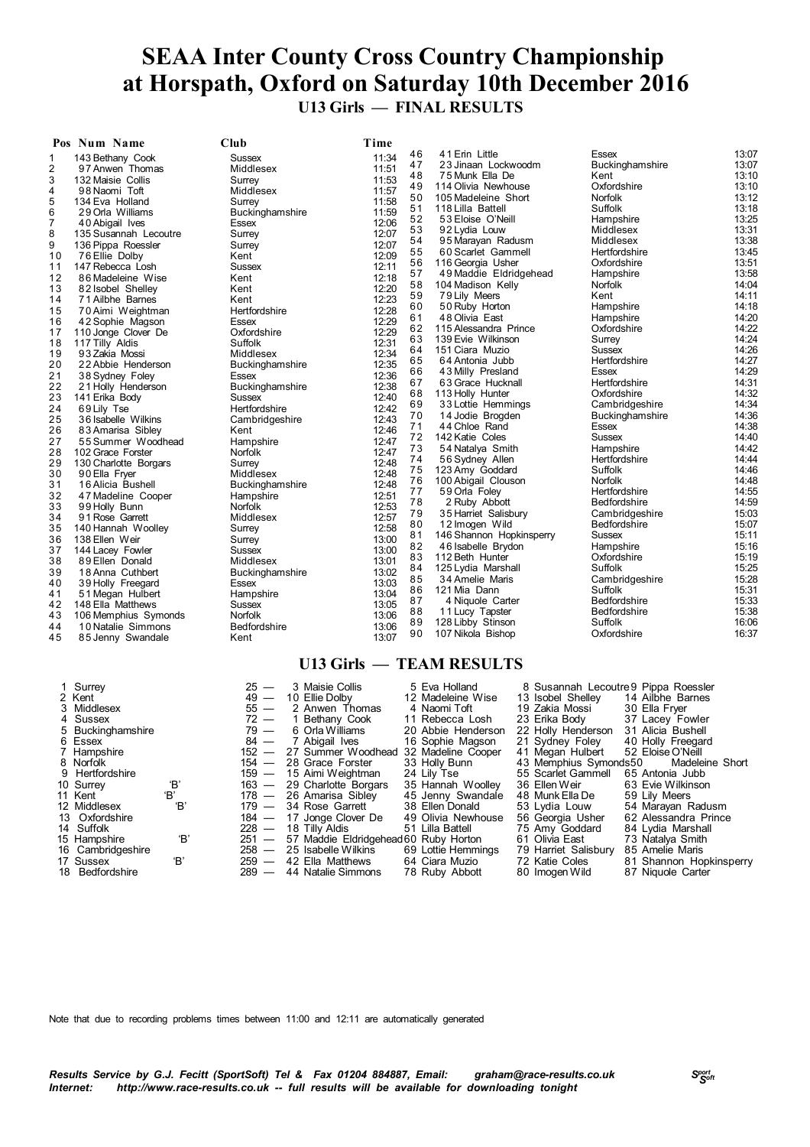### **SEAA Inter County Cross Country Championship at Horspath, Oxford on Saturday 10th December 2016 U13 Girls — FINAL RESULTS**

|    | Pos Num Name          | Club            | Time  |    |                          |                                |       |
|----|-----------------------|-----------------|-------|----|--------------------------|--------------------------------|-------|
| 1  | 143 Bethany Cook      | <b>Sussex</b>   | 11:34 | 46 | 41 Erin Little           | Essex                          | 13:07 |
| 2  | 97 Anwen Thomas       | Middlesex       | 11:51 | 47 | 23 Jinaan Lockwoodm      | Buckinghamshire                | 13:07 |
| 3  | 132 Maisie Collis     | Surrey          | 11:53 | 48 | 75 Munk Ella De          | Kent                           | 13:10 |
| 4  | 98 Naomi Toft         | Middlesex       | 11:57 | 49 | 114 Olivia Newhouse      | Oxfordshire                    | 13:10 |
| 5  | 134 Eva Holland       | Surrey          | 11:58 | 50 | 105 Madeleine Short      | <b>Norfolk</b>                 | 13:12 |
| 6  | 29 Orla Williams      | Buckinghamshire | 11:59 | 51 | 118 Lilla Battell        | Suffolk                        | 13:18 |
| 7  | 40 Abigail Ives       | Essex           | 12:06 | 52 | 53 Eloise O'Neill        | Hampshire                      | 13:25 |
| 8  | 135 Susannah Lecoutre | Surrey          | 12:07 | 53 | 92 Lydia Louw            | Middlesex                      | 13:31 |
| 9  | 136 Pippa Roessler    | Surrey          | 12:07 | 54 | 95 Marayan Radusm        | Middlesex                      | 13:38 |
| 10 | 76 Ellie Dolby        | Kent            | 12:09 | 55 | 60 Scarlet Gammell       | Hertfordshire                  | 13:45 |
| 11 | 147 Rebecca Losh      | <b>Sussex</b>   | 12:11 | 56 | 116 Georgia Usher        | Oxfordshire                    | 13:51 |
| 12 | 86 Madeleine Wise     | Kent            | 12:18 | 57 | 49 Maddie Eldridgehead   | Hampshire                      | 13:58 |
| 13 | 82 Isobel Shelley     | Kent            | 12:20 | 58 | 104 Madison Kelly        | <b>Norfolk</b>                 | 14:04 |
| 14 | 71 Ailbhe Barnes      | Kent            | 12:23 | 59 | 79 Lily Meers            | Kent                           | 14:11 |
| 15 |                       | Hertfordshire   | 12:28 | 60 | 50 Ruby Horton           | Hampshire                      | 14:18 |
| 16 | 70 Aimi Weightman     |                 | 12:29 | 61 | 48 Olivia East           | Hampshire                      | 14:20 |
|    | 42 Sophie Magson      | Essex           | 12:29 | 62 | 115 Alessandra Prince    | Oxfordshire                    | 14:22 |
| 17 | 110 Jonge Clover De   | Oxfordshire     |       | 63 | 139 Evie Wilkinson       | Surrey                         | 14:24 |
| 18 | 117 Tilly Aldis       | Suffolk         | 12:31 | 64 | 151 Ciara Muzio          | Sussex                         | 14:26 |
| 19 | 93 Zakia Mossi        | Middlesex       | 12:34 | 65 | 64 Antonia Jubb          | Hertfordshire                  | 14:27 |
| 20 | 22 Abbie Henderson    | Buckinghamshire | 12:35 | 66 | 43 Milly Presland        | Essex                          | 14:29 |
| 21 | 38 Sydney Foley       | Essex           | 12:36 | 67 | 63 Grace Hucknall        | Hertfordshire                  | 14:31 |
| 22 | 21 Holly Henderson    | Buckinghamshire | 12:38 | 68 | 113 Holly Hunter         | Oxfordshire                    | 14:32 |
| 23 | 141 Erika Body        | <b>Sussex</b>   | 12:40 | 69 | 33 Lottie Hemmings       | Cambridgeshire                 | 14:34 |
| 24 | 69 Lily Tse           | Hertfordshire   | 12:42 | 70 | 14 Jodie Brogden         | Buckinghamshire                | 14:36 |
| 25 | 36 Isabelle Wilkins   | Cambridgeshire  | 12:43 | 71 | 44 Chloe Rand            | Essex                          | 14:38 |
| 26 | 83 Amarisa Sibley     | Kent            | 12:46 | 72 | 142 Katie Coles          | Sussex                         | 14:40 |
| 27 | 55 Summer Woodhead    | Hampshire       | 12:47 | 73 | 54 Natalya Smith         | Hampshire                      | 14:42 |
| 28 | 102 Grace Forster     | <b>Norfolk</b>  | 12:47 | 74 | 56 Sydney Allen          | Hertfordshire                  | 14:44 |
| 29 | 130 Charlotte Borgars | Surrey          | 12:48 | 75 | 123 Amy Goddard          | Suffolk                        | 14:46 |
| 30 | 90 Ella Fryer         | Middlesex       | 12:48 | 76 | 100 Abigail Clouson      | Norfolk                        | 14:48 |
| 31 | 16 Alicia Bushell     | Buckinghamshire | 12:48 | 77 | 59 Orla Foley            | Hertfordshire                  | 14:55 |
| 32 | 47 Madeline Cooper    | Hampshire       | 12:51 | 78 | 2 Ruby Abbott            | Bedfordshire                   | 14:59 |
| 33 | 99 Holly Bunn         | <b>Norfolk</b>  | 12:53 | 79 |                          |                                | 15:03 |
| 34 | 91 Rose Garrett       | Middlesex       | 12:57 | 80 | 35 Harriet Salisbury     | Cambridgeshire<br>Bedfordshire | 15:07 |
| 35 | 140 Hannah Woolley    | Surrey          | 12:58 | 81 | 12 Imogen Wild           | <b>Sussex</b>                  | 15:11 |
| 36 | 138 Ellen Weir        | Surrey          | 13:00 |    | 146 Shannon Hopkinsperry |                                | 15:16 |
| 37 | 144 Lacey Fowler      | <b>Sussex</b>   | 13:00 | 82 | 46 Isabelle Brydon       | Hampshire                      |       |
| 38 | 89 Ellen Donald       | Middlesex       | 13:01 | 83 | 112 Beth Hunter          | Oxfordshire                    | 15:19 |
| 39 | 18 Anna Cuthbert      | Buckinghamshire | 13:02 | 84 | 125 Lydia Marshall       | Suffolk                        | 15:25 |
| 40 | 39 Holly Freegard     | Essex           | 13:03 | 85 | 34 Amelie Maris          | Cambridgeshire                 | 15:28 |
| 41 | 51 Megan Hulbert      | Hampshire       | 13:04 | 86 | 121 Mia Dann             | Suffolk                        | 15:31 |
| 42 | 148 Ella Matthews     | <b>Sussex</b>   | 13:05 | 87 | 4 Niquole Carter         | Bedfordshire                   | 15:33 |
| 43 | 106 Memphius Symonds  | Norfolk         | 13:06 | 88 | 11 Lucy Tapster          | Bedfordshire                   | 15:38 |
| 44 | 10 Natalie Simmons    | Bedfordshire    | 13:06 | 89 | 128 Libby Stinson        | Suffolk                        | 16:06 |
| 45 | 85 Jenny Swandale     | Kent            | 13:07 | 90 | 107 Nikola Bishop        | Oxfordshire                    | 16:37 |
|    |                       |                 |       |    |                          |                                |       |

#### **U13 Girls — TEAM RESULTS**

| 1 Surrey<br>2 Kent |     | $25 -$<br>$49 -$ | 3 Maisie Collis<br>10 Ellie Dolby     | 5 Eva Holland<br>12 Madeleine Wise | 8 Susannah Lecoutre 9 Pippa Roessler<br>13 Isobel Shelley | 14 Ailbhe Barnes        |
|--------------------|-----|------------------|---------------------------------------|------------------------------------|-----------------------------------------------------------|-------------------------|
| 3 Middlesex        |     | $55 -$           | 2 Anwen Thomas                        | 4 Naomi Toft                       | 19 Zakia Mossi                                            | 30 Ella Fryer           |
| 4 Sussex           |     | $72 -$           | 1 Bethany Cook                        | 11 Rebecca Losh                    | 23 Erika Bodv                                             | 37 Lacey Fowler         |
| 5 Buckinghamshire  |     | $79 -$           | 6 Orla Williams                       | 20 Abbie Henderson                 | 22 Holly Henderson                                        | 31 Alicia Bushell       |
| 6 Essex            |     | $84 -$           | 7 Abigail Ives                        | 16 Sophie Magson                   | 21 Sydney Foley                                           | 40 Holly Freegard       |
| 7 Hampshire        |     | $152 -$          | 27 Summer Woodhead 32 Madeline Cooper |                                    | 41 Megan Hulbert                                          | 52 Eloise O'Neill       |
| 8 Norfolk          |     | $154 -$          | 28 Grace Forster                      | 33 Holly Bunn                      | 43 Memphius Symonds50                                     | Madeleine Short         |
| 9 Hertfordshire    |     |                  | 159 — 15 Aimi Weightman               | 24 Lilv Tse                        | 55 Scarlet Gammell                                        | 65 Antonia Jubb         |
| 10 Surrey          | Έ,  |                  | 163 - 29 Charlotte Borgars            | 35 Hannah Woolley                  | 36 Ellen Weir                                             | 63 Evie Wilkinson       |
| 11 Kent            | 'B' |                  | 178 - 26 Amarisa Sibley               | 45 Jenny Swandale                  | 48 Munk Ella De                                           | 59 Lily Meers           |
| 12 Middlesex       | 'В' | $179 -$          | 34 Rose Garrett                       | 38 Ellen Donald                    | 53 Lydia Louw                                             | 54 Marayan Radusm       |
| 13 Oxfordshire     |     |                  | 184 - 17 Jonge Clover De              | 49 Olivia Newhouse                 | 56 Georgia Usher                                          | 62 Alessandra Prince    |
| 14 Suffolk         |     | $228 -$          | 18 Tilly Aldis                        | 51 Lilla Battell                   | 75 Amy Goddard                                            | 84 Lydia Marshall       |
| 15 Hampshire       | 'В' | $251 -$          | 57 Maddie Eldridgehead 60 Ruby Horton |                                    | 61 Olivia East                                            | 73 Natalya Smith        |
| 16 Cambridgeshire  |     | $258 -$          | 25 Isabelle Wilkins                   | 69 Lottie Hemmings                 | 79 Harriet Salisbury                                      | 85 Amelie Maris         |
| 17 Sussex          | 'B' | $259 -$          | 42 Ella Matthews                      | 64 Ciara Muzio                     | 72 Katie Coles                                            | 81 Shannon Hopkinsperry |
| 18 Bedfordshire    |     | $289 -$          | 44 Natalie Simmons                    | 78 Ruby Abbott                     | 80 Imogen Wild                                            | 87 Niquole Carter       |

Note that due to recording problems times between 11:00 and 12:11 are automatically generated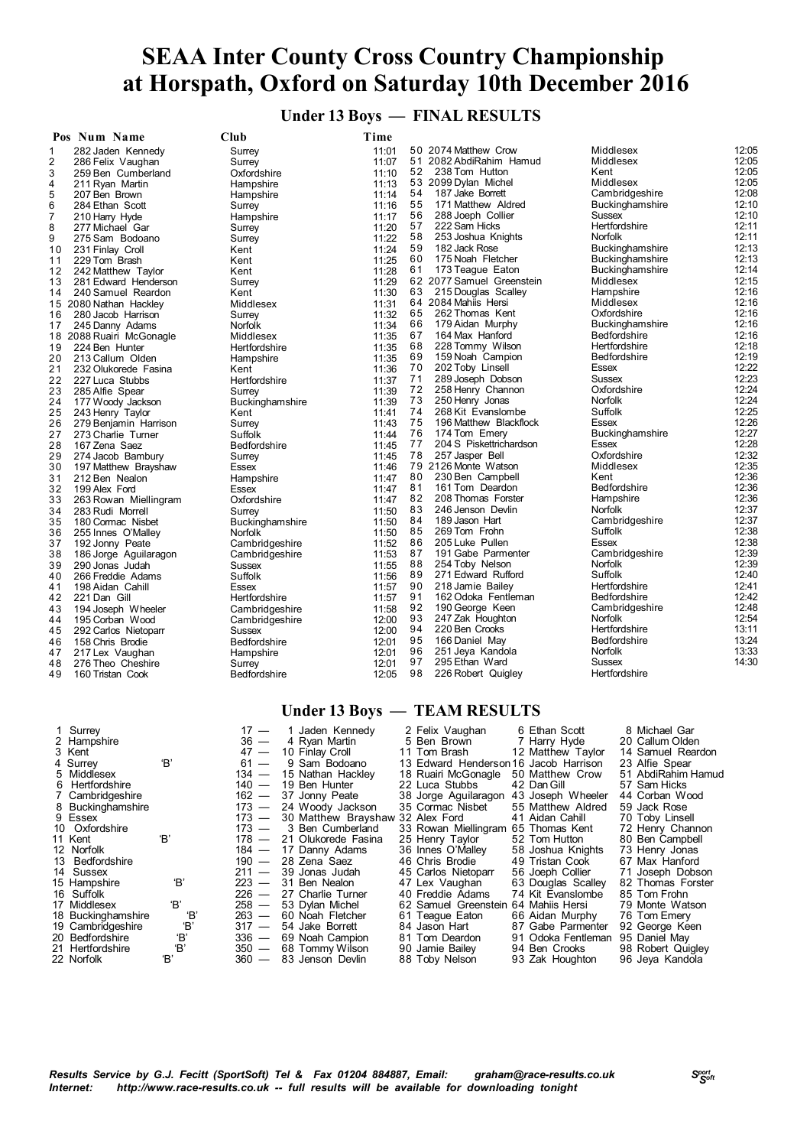**Under 13 Boys — FINAL RESULTS**

|                | Pos Num Name             | Club                   | Time  |    |                           |                        |                |
|----------------|--------------------------|------------------------|-------|----|---------------------------|------------------------|----------------|
| 1              | 282 Jaden Kennedy        | Surrey                 | 11:01 |    | 50 2074 Matthew Crow      | Middlesex              | 12:05          |
| 2              | 286 Felix Vaughan        | Surrey                 | 11:07 |    | 51 2082 AbdiRahim Hamud   | Middlesex              | 12:05          |
| 3              | 259 Ben Cumberland       | Oxfordshire            | 11:10 | 52 | 238 Tom Hutton            | Kent                   | 12:05          |
| 4              | 211 Ryan Martin          | Hampshire              | 11:13 |    | 53 2099 Dylan Michel      | Middlesex              | 12:05          |
| 5              | 207 Ben Brown            | Hampshire              | 11:14 | 54 | 187 Jake Borrett          | Cambridgeshire         | 12:08          |
| 6              | 284 Ethan Scott          | Surrey                 | 11:16 | 55 | 171 Matthew Aldred        | Buckinghamshire        | 12:10          |
| $\overline{7}$ | 210 Harry Hyde           | Hampshire              | 11:17 | 56 | 288 Joeph Collier         | <b>Sussex</b>          | 12:10          |
| 8              | 277 Michael Gar          | Surrey                 | 11:20 | 57 | 222 Sam Hicks             | Hertfordshire          | 12:11          |
| 9              | 275 Sam Bodoano          | Surrey                 | 11:22 | 58 | 253 Joshua Knights        | <b>Norfolk</b>         | 12:11          |
| 10             | 231 Finlay Croll         | Kent                   | 11:24 | 59 | 182 Jack Rose             | Buckinghamshire        | 12:13          |
| 11             | 229 Tom Brash            | Kent                   | 11:25 | 60 | 175 Noah Fletcher         | <b>Buckinghamshire</b> | 12:13          |
| 12             | 242 Matthew Taylor       | Kent                   | 11:28 | 61 | 173 Teague Eaton          | <b>Buckinghamshire</b> | 12:14          |
| 13             | 281 Edward Henderson     | Surrey                 | 11:29 |    | 62 2077 Samuel Greenstein | Middlesex              | 12:15          |
| 14             | 240 Samuel Reardon       | Kent                   | 11:30 | 63 | 215 Douglas Scalley       | Hampshire              | 12:16          |
|                | 15 2080 Nathan Hackley   | Middlesex              | 11:31 |    | 64 2084 Mahiis Hersi      | Middlesex              | 12:16          |
| 16             | 280 Jacob Harrison       | Surrey                 | 11:32 | 65 | 262 Thomas Kent           | Oxfordshire            | 12:16          |
| 17             | 245 Danny Adams          | Norfolk                | 11:34 | 66 | 179 Aidan Murphy          | <b>Buckinghamshire</b> | 12:16          |
|                | 18 2088 Ruairi McGonagle | Middlesex              | 11:35 | 67 | 164 Max Hanford           | Bedfordshire           | 12:16          |
| 19             | 224 Ben Hunter           | Hertfordshire          | 11:35 | 68 | 228 Tommy Wilson          | Hertfordshire          | 12:18          |
| 20             | 213 Callum Olden         |                        | 11:35 | 69 | 159 Noah Campion          | Bedfordshire           | 12:19          |
| 21             | 232 Olukorede Fasina     | Hampshire<br>Kent      | 11:36 | 70 | 202 Toby Linsell          | Essex                  | 12:22          |
|                |                          |                        |       | 71 | 289 Joseph Dobson         | <b>Sussex</b>          | 12:23          |
| 22             | 227 Luca Stubbs          | Hertfordshire          | 11:37 | 72 | 258 Henry Channon         | Oxfordshire            | 12:24          |
| 23             | 285 Alfie Spear          | Surrey                 | 11:39 | 73 | 250 Henry Jonas           | <b>Norfolk</b>         | 12:24          |
| 24             | 177 Woody Jackson        | <b>Buckinghamshire</b> | 11:39 | 74 | 268 Kit Evanslombe        | Suffolk                | 12:25          |
| 25             | 243 Henry Taylor         | Kent                   | 11:41 | 75 | 196 Matthew Blackflock    | Essex                  | 12:26          |
| 26             | 279 Benjamin Harrison    | Surrey                 | 11:43 | 76 |                           |                        | 12:27          |
| 27             | 273 Charlie Turner       | Suffolk                | 11:44 |    | 174 Tom Emery             | Buckinghamshire        |                |
| 28             | 167 Zena Saez            | <b>Bedfordshire</b>    | 11:45 | 77 | 204 S Piskettrichardson   | Essex                  | 12:28<br>12:32 |
| 29             | 274 Jacob Bambury        | Surrey                 | 11:45 | 78 | 257 Jasper Bell           | Oxfordshire            |                |
| 30             | 197 Matthew Brayshaw     | Essex                  | 11:46 |    | 79 2126 Monte Watson      | Middlesex              | 12:35          |
| 31             | 212 Ben Nealon           | Hampshire              | 11:47 | 80 | 230 Ben Campbell          | Kent                   | 12:36          |
| 32             | 199 Alex Ford            | Essex                  | 11:47 | 81 | 161 Tom Deardon           | Bedfordshire           | 12:36          |
| 33             | 263 Rowan Miellingram    | Oxfordshire            | 11:47 | 82 | 208 Thomas Forster        | Hampshire              | 12:36          |
| 34             | 283 Rudi Morrell         | Surrey                 | 11:50 | 83 | 246 Jenson Devlin         | <b>Norfolk</b>         | 12:37          |
| 35             | 180 Cormac Nisbet        | Buckinghamshire        | 11:50 | 84 | 189 Jason Hart            | Cambridgeshire         | 12:37          |
| 36             | 255 Innes O'Malley       | Norfolk                | 11:50 | 85 | 269 Tom Frohn             | Suffolk                | 12:38          |
| 37             | 192 Jonny Peate          | Cambridgeshire         | 11:52 | 86 | 205 Luke Pullen           | Essex                  | 12:38          |
| 38             | 186 Jorge Aguilaragon    | Cambridgeshire         | 11:53 | 87 | 191 Gabe Parmenter        | Cambridgeshire         | 12:39          |
| 39             | 290 Jonas Judah          | Sussex                 | 11:55 | 88 | 254 Toby Nelson           | Norfolk                | 12:39          |
| 40             | 266 Freddie Adams        | Suffolk                | 11:56 | 89 | 271 Edward Rufford        | Suffolk                | 12:40          |
| 41             | 198 Aidan Cahill         | Essex                  | 11:57 | 90 | 218 Jamie Bailey          | Hertfordshire          | 12:41          |
| 42             | 221 Dan Gill             | Hertfordshire          | 11:57 | 91 | 162 Odoka Fentleman       | Bedfordshire           | 12:42          |
| 43             | 194 Joseph Wheeler       | Cambridgeshire         | 11:58 | 92 | 190 George Keen           | Cambridgeshire         | 12:48          |
| 44             | 195 Corban Wood          | Cambridgeshire         | 12:00 | 93 | 247 Zak Houghton          | Norfolk                | 12:54          |
| 45             | 292 Carlos Nietoparr     | Sussex                 | 12:00 | 94 | 220 Ben Crooks            | Hertfordshire          | 13:11          |
| 46             | 158 Chris Brodie         | <b>Bedfordshire</b>    | 12:01 | 95 | 166 Daniel May            | Bedfordshire           | 13:24          |
| 47             | 217 Lex Vaughan          | Hampshire              | 12:01 | 96 | 251 Jeya Kandola          | <b>Norfolk</b>         | 13:33          |
| 48             | 276 Theo Cheshire        | Surrey                 | 12:01 | 97 | 295 Ethan Ward            | <b>Sussex</b>          | 14:30          |
| 49             | 160 Tristan Cook         | <b>Bedfordshire</b>    | 12:05 | 98 | 226 Robert Quigley        | Hertfordshire          |                |

#### **Under 13 Boys — TEAM RESULTS**

| 1 Surrey           |     | 17 —    | 1 Jaden Kennedy                        | 2 Felix Vaughan                       | 6 Ethan Scott      | 8 Michael Gar      |
|--------------------|-----|---------|----------------------------------------|---------------------------------------|--------------------|--------------------|
| 2 Hampshire        |     | $36 -$  | 4 Ryan Martin                          | 5 Ben Brown                           | 7 Harry Hyde       | 20 Callum Olden    |
| 3 Kent             |     | $47 -$  | 10 Finlay Croll                        | 11 Tom Brash                          | 12 Matthew Taylor  | 14 Samuel Reardon  |
| 4 Surrey           | 'B' | $61 -$  | 9 Sam Bodoano                          | 13 Edward Henderson 16 Jacob Harrison |                    | 23 Alfie Spear     |
| 5 Middlesex        |     | 134 —   | 15 Nathan Hackley                      | 18 Ruairi McGonagle                   | 50 Matthew Crow    | 51 AbdiRahim Hamud |
| 6 Hertfordshire    |     | 140 —   | 19 Ben Hunter                          | 22 Luca Stubbs                        | 42 Dan Gill        | 57 Sam Hicks       |
| 7 Cambridgeshire   |     |         | 162 - 37 Jonny Peate                   | 38 Jorge Aguilaragon                  | 43 Joseph Wheeler  | 44 Corban Wood     |
| 8 Buckinghamshire  |     |         | 173 - 24 Woody Jackson                 | 35 Cormac Nisbet                      | 55 Matthew Aldred  | 59 Jack Rose       |
| 9 Essex            |     |         | 173 - 30 Matthew Brayshaw 32 Alex Ford |                                       | 41 Aidan Cahill    | 70 Toby Linsell    |
| 10 Oxfordshire     |     | 173 —   | 3 Ben Cumberland                       | 33 Rowan Miellingram                  | 65 Thomas Kent     | 72 Henry Channon   |
| 11 Kent            | 'B' |         | 178 - 21 Olukorede Fasina              | 25 Henry Taylor                       | 52 Tom Hutton      | 80 Ben Campbell    |
| 12 Norfolk         |     |         | 184 - 17 Danny Adams                   | 36 Innes O'Malley                     | 58 Joshua Knights  | 73 Henry Jonas     |
| 13 Bedfordshire    |     |         | $190 - 28$ Zena Saez                   | 46 Chris Brodie                       | 49 Tristan Cook    | 67 Max Hanford     |
| 14 Sussex          |     |         | $211 - 39$ Jonas Judah                 | 45 Carlos Nietoparr                   | 56 Joeph Collier   | 71 Joseph Dobson   |
| 15 Hampshire       | 'B' | $223 -$ | 31 Ben Nealon                          | 47 Lex Vaughan                        | 63 Douglas Scalley | 82 Thomas Forster  |
| 16 Suffolk         |     | $226 -$ | 27 Charlie Turner                      | 40 Freddie Adams                      | 74 Kit Evanslombe  | 85 Tom Frohn       |
| 17 Middlesex       | 'B' | $258 -$ | 53 Dylan Michel                        | 62 Samuel Greenstein 64 Mahiis Hersi  |                    | 79 Monte Watson    |
| 18 Buckinghamshire | 'В' | $263 -$ | 60 Noah Fletcher                       | 61 Teague Eaton                       | 66 Aidan Murphy    | 76 Tom Emery       |
| 19 Cambridgeshire  | 'В' | $317 -$ | 54 Jake Borrett                        | 84 Jason Hart                         | 87 Gabe Parmenter  | 92 George Keen     |
| 20 Bedfordshire    | 'B' | $336 -$ | 69 Noah Campion                        | 81 Tom Deardon                        | 91 Odoka Fentleman | 95 Daniel May      |
| 21 Hertfordshire   | 'B' | $350 -$ | 68 Tommy Wilson                        | 90 Jamie Bailey                       | 94 Ben Crooks      | 98 Robert Quigley  |
| 22 Norfolk         | 'B' | $360 -$ | 83 Jenson Devlin                       | 88 Toby Nelson                        | 93 Zak Houghton    | 96 Jeya Kandola    |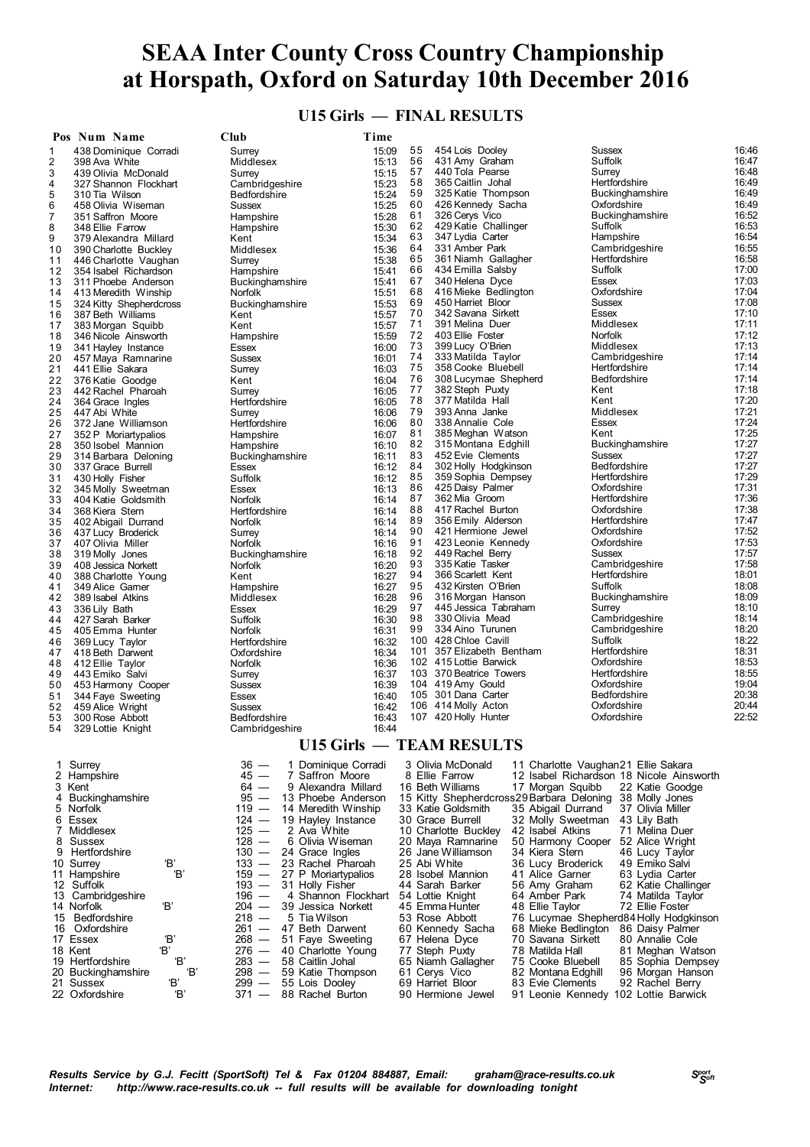#### **U15 Girls — FINAL RESULTS**

|          | Pos Num Name                                   | Club                                                                                                         | Time           |          |                                                                 |                                      |                                          |                |
|----------|------------------------------------------------|--------------------------------------------------------------------------------------------------------------|----------------|----------|-----------------------------------------------------------------|--------------------------------------|------------------------------------------|----------------|
| 1        | 438 Dominique Corradi                          | Surrey                                                                                                       | 15:09          | 55       | 454 Lois Dooley                                                 |                                      | <b>Sussex</b>                            | 16:46          |
| 2        | 398 Ava White                                  | Middlesex                                                                                                    | 15:13          | 56<br>57 | 431 Amy Graham<br>440 Tola Pearse                               |                                      | Suffolk<br>Surrey                        | 16:47<br>16:48 |
| 3<br>4   | 439 Olivia McDonald<br>327 Shannon Flockhart   | Surrey<br>Cambridgeshire                                                                                     | 15:15<br>15:23 | 58       | 365 Caitlin Johal                                               |                                      | Hertfordshire                            | 16:49          |
| 5        | 310 Tia Wilson                                 | <b>Bedfordshire</b>                                                                                          | 15:24          | 59       | 325 Katie Thompson                                              |                                      | <b>Buckinghamshire</b>                   | 16:49          |
| 6        | 458 Olivia Wiseman                             | Sussex                                                                                                       | 15:25          | 60       | 426 Kennedy Sacha                                               |                                      | Oxfordshire                              | 16:49          |
| 7        | 351 Saffron Moore                              | Hampshire                                                                                                    | 15:28          | 61       | 326 Cerys Vico                                                  |                                      | <b>Buckinghamshire</b>                   | 16:52          |
| 8        | 348 Ellie Farrow                               | Hampshire                                                                                                    | 15:30          | 62       | 429 Katie Challinger                                            |                                      | Suffolk                                  | 16:53          |
| 9        | 379 Alexandra Millard                          | Kent                                                                                                         | 15:34          | 63       | 347 Lydia Carter<br>331 Amber Park                              |                                      | Hampshire                                | 16:54<br>16:55 |
| 10<br>11 | 390 Charlotte Buckley<br>446 Charlotte Vaughan | Middlesex<br>Surrey                                                                                          | 15:36<br>15:38 | 64<br>65 | 361 Niamh Gallagher                                             |                                      | Cambridgeshire<br>Hertfordshire          | 16:58          |
| 12       | 354 Isabel Richardson                          | Hampshire                                                                                                    | 15:41          | 66       | 434 Emilla Salsby                                               |                                      | Suffolk                                  | 17:00          |
| 13       | 311 Phoebe Anderson                            | Buckinghamshire                                                                                              | 15:41          | 67       | 340 Helena Dyce                                                 |                                      | Essex                                    | 17:03          |
| 14       | 413 Meredith Winship                           | Norfolk                                                                                                      | 15:51          | 68       | 416 Mieke Bedlington                                            |                                      | Oxfordshire                              | 17:04          |
| 15       | 324 Kitty Shepherdcross                        | Buckinghamshire                                                                                              | 15:53          | 69       | 450 Harriet Bloor                                               |                                      | <b>Sussex</b>                            | 17:08          |
| 16<br>17 | 387 Beth Williams                              | Kent<br>Kent                                                                                                 | 15:57<br>15:57 | 70<br>71 | 342 Savana Sirkett<br>391 Melina Duer                           |                                      | Essex<br>Middlesex                       | 17:10<br>17:11 |
| 18       | 383 Morgan Squibb<br>346 Nicole Ainsworth      | Hampshire                                                                                                    | 15:59          | 72       | 403 Ellie Foster                                                |                                      | <b>Norfolk</b>                           | 17:12          |
| 19       | 341 Hayley Instance                            | Essex                                                                                                        | 16:00          | 73       | 399 Lucy O'Brien                                                |                                      | Middlesex                                | 17:13          |
| 20       | 457 Maya Ramnarine                             | <b>Sussex</b>                                                                                                | 16:01          | 74       | 333 Matilda Taylor                                              |                                      | Cambridgeshire                           | 17:14          |
| 21       | 441 Ellie Sakara                               | Surrey                                                                                                       | 16:03          | 75       | 358 Cooke Bluebell                                              |                                      | Hertfordshire                            | 17:14          |
| 22       | 376 Katie Goodge                               | Kent                                                                                                         | 16:04          | 76<br>77 | 308 Lucymae Shepherd<br>382 Steph Puxty                         |                                      | Bedfordshire<br>Kent                     | 17:14<br>17:18 |
| 23<br>24 | 442 Rachel Pharoah<br>364 Grace Ingles         | Surrey<br>Hertfordshire                                                                                      | 16:05<br>16:05 | 78       | 377 Matilda Hall                                                |                                      | Kent                                     | 17:20          |
| 25       | 447 Abi White                                  | Surrey                                                                                                       | 16:06          | 79       | 393 Anna Janke                                                  |                                      | Middlesex                                | 17:21          |
| 26       | 372 Jane Williamson                            | Hertfordshire                                                                                                | 16:06          | 80       | 338 Annalie Cole                                                |                                      | Essex                                    | 17:24          |
| 27       | 352 P Moriartypalios                           | Hampshire                                                                                                    | 16:07          | 81       | 385 Meghan Watson                                               |                                      | Kent                                     | 17:25          |
| 28       | 350 Isobel Mannion                             | Hampshire                                                                                                    | 16:10          | 82       | 315 Montana Edghill                                             |                                      | <b>Buckinghamshire</b>                   | 17:27          |
| 29       | 314 Barbara Deloning                           | Buckinghamshire                                                                                              | 16:11          | 83<br>84 | 452 Evie Clements<br>302 Holly Hodgkinson                       |                                      | Sussex<br>Bedfordshire                   | 17:27<br>17:27 |
| 30<br>31 | 337 Grace Burrell<br>430 Holly Fisher          | Essex<br>Suffolk                                                                                             | 16:12<br>16:12 | 85       | 359 Sophia Dempsey                                              |                                      | Hertfordshire                            | 17:29          |
| 32       | 345 Molly Sweetman                             | Essex                                                                                                        | 16:13          | 86       | 425 Daisy Palmer                                                |                                      | Oxfordshire                              | 17:31          |
| 33       | 404 Katie Goldsmith                            | Norfolk                                                                                                      | 16:14          | 87       | 362 Mia Groom                                                   |                                      | Hertfordshire                            | 17:36          |
| 34       | 368 Kiera Stern                                | Hertfordshire                                                                                                | 16:14          | 88       | 417 Rachel Burton                                               |                                      | Oxfordshire                              | 17:38          |
| 35       | 402 Abigail Durrand                            | Norfolk                                                                                                      | 16:14          | 89       | 356 Emily Alderson                                              |                                      | Hertfordshire                            | 17:47          |
| 36       | 437 Lucy Broderick                             | Surrey                                                                                                       | 16:14          | 90<br>91 | 421 Hermione Jewel<br>423 Leonie Kennedy                        |                                      | Oxfordshire<br>Oxfordshire               | 17:52<br>17:53 |
| 37<br>38 | 407 Olivia Miller<br>319 Molly Jones           | Norfolk<br>Buckinghamshire                                                                                   | 16:16<br>16:18 | 92       | 449 Rachel Berry                                                |                                      | Sussex                                   | 17:57          |
| 39       | 408 Jessica Norkett                            | Norfolk                                                                                                      | 16:20          | 93       | 335 Katie Tasker                                                |                                      | Cambridgeshire                           | 17:58          |
| 40       | 388 Charlotte Young                            | Kent                                                                                                         | 16:27          | 94       | 366 Scarlett Kent                                               |                                      | Hertfordshire                            | 18:01          |
| 41       | 349 Alice Garner                               | Hampshire                                                                                                    | 16:27          | 95       | 432 Kirsten O'Brien                                             |                                      | Suffolk                                  | 18:08          |
| 42       | 389 Isabel Atkins                              | Middlesex                                                                                                    | 16:28          | 96       | 316 Morgan Hanson                                               |                                      | Buckinghamshire                          | 18:09          |
| 43       | 336 Lily Bath                                  | Essex                                                                                                        | 16:29          | 97<br>98 | 445 Jessica Tabraham<br>330 Olivia Mead                         |                                      | Surrey<br>Cambridgeshire                 | 18:10<br>18:14 |
| 44<br>45 | 427 Sarah Barker<br>405 Emma Hunter            | Suffolk<br>Norfolk                                                                                           | 16:30<br>16:31 | 99       | 334 Aino Turunen                                                |                                      | Cambridgeshire                           | 18:20          |
| 46       | 369 Lucy Taylor                                | Hertfordshire                                                                                                | 16:32          |          | 100 428 Chloe Cavill                                            |                                      | Suffolk                                  | 18:22          |
| 47       | 418 Beth Darwent                               | Oxfordshire                                                                                                  | 16:34          |          | 101 357 Elizabeth Bentham                                       |                                      | Hertfordshire                            | 18:31          |
| 48       | 412 Ellie Tavlor                               | Norfolk                                                                                                      | 16:36          |          | 102 415 Lottie Barwick                                          |                                      | Oxfordshire                              | 18:53          |
| 49       | 443 Emiko Salvi                                | Surrey                                                                                                       | 16:37          |          | 103 370 Beatrice Towers                                         |                                      | Hertfordshire                            | 18:55          |
| 50<br>51 | 453 Harmony Cooper                             | Sussex<br>Essex                                                                                              | 16:39<br>16:40 |          | 104 419 Amy Gould<br>105 301 Dana Carter                        |                                      | Oxfordshire<br>Bedfordshire              | 19:04<br>20:38 |
| 52       | 344 Faye Sweeting<br>459 Alice Wright          | <b>Sussex</b>                                                                                                | 16:42          |          | 106 414 Molly Acton                                             |                                      | Oxfordshire                              | 20:44          |
| 53       | 300 Rose Abbott                                | <b>Bedfordshire</b>                                                                                          | 16:43          |          | 107 420 Holly Hunter                                            |                                      | Oxfordshire                              | 22:52          |
| 54       | 329 Lottie Knight                              | Cambridgeshire                                                                                               | 16:44          |          |                                                                 |                                      |                                          |                |
|          |                                                |                                                                                                              |                |          | <b>U15 Girls - TEAM RESULTS</b>                                 |                                      |                                          |                |
| 1        | Surrey                                         | 36<br>1 Dominique Corradi<br>$\overline{\phantom{0}}$                                                        |                |          | 3 Olivia McDonald                                               |                                      | 11 Charlotte Vaughan21 Ellie Sakara      |                |
| 2        | Hampshire                                      | 45<br>$\overline{\phantom{0}}$<br>7 Saffron Moore                                                            |                |          | 8 Ellie Farrow                                                  |                                      | 12 Isabel Richardson 18 Nicole Ainsworth |                |
|          | 3 Kent                                         | $64 -$<br>9 Alexandra Millard                                                                                |                |          | 16 Beth Williams                                                | 17 Morgan Squibb                     | 22 Katie Goodge                          |                |
| 5        | 4 Buckinghamshire<br>Norfolk                   | 95<br>$\overline{\phantom{0}}$<br>13 Phoebe Anderson<br>119<br>14 Meredith Winship                           |                |          | 15 Kitty Shepherdcross29 Barbara Deloning<br>33 Katie Goldsmith | 35 Abigail Durrand                   | 38 Molly Jones<br>37 Olivia Miller       |                |
| 6        | Essex                                          | $124 -$<br>19 Hayley Instance                                                                                |                |          | 30 Grace Burrell                                                | 32 Molly Sweetman                    | 43 Lily Bath                             |                |
| 7        | Middlesex                                      | 125<br>2 Ava White<br>$\overline{\phantom{0}}$                                                               |                |          | 10 Charlotte Buckley                                            | 42 Isabel Atkins                     | 71 Melina Duer                           |                |
| 8        | Sussex                                         | $128 -$<br>6<br>Olivia Wiseman                                                                               |                |          | 20 Maya Ramnarine                                               | 50 Harmony Cooper                    | 52 Alice Wright                          |                |
| 9        | Hertfordshire                                  | $130 -$<br>24 Grace Ingles                                                                                   |                |          | 26 Jane Williamson                                              | 34 Kiera Stern                       | 46 Lucy Taylor                           |                |
|          | 'B'<br>10 Surrey                               | $133 -$<br>23 Rachel Pharoah                                                                                 |                |          | 25 Abi White                                                    | 36 Lucy Broderick                    | 49 Emiko Salvi                           |                |
|          | Έ,<br>11 Hampshire<br>12 Suffolk               | 159<br>$\overline{\phantom{0}}$<br>27 P Moriartypalios<br>$193 -$<br>31 Holly Fisher                         |                |          | 28 Isobel Mannion<br>44 Sarah Barker                            | 41 Alice Garner<br>56 Amy Graham     | 63 Lydia Carter<br>62 Katie Challinger   |                |
|          | 13 Cambridgeshire                              | 196<br>$\overline{\phantom{0}}$<br>4 Shannon Flockhart                                                       |                |          | 54 Lottie Knight                                                | 64 Amber Park                        | 74 Matilda Tavlor                        |                |
|          | Έ,<br>14 Norfolk                               | $204 -$<br>39 Jessica Norkett                                                                                |                |          | 45 Emma Hunter                                                  | 48 Ellie Taylor                      | 72 Ellie Foster                          |                |
| 15       | Bedfordshire                                   | $218 -$<br>5 Tia Wilson                                                                                      |                |          | 53 Rose Abbott                                                  |                                      | 76 Lucymae Shepherd84 Holly Hodgkinson   |                |
| 16       | Oxfordshire                                    | 261<br>47 Beth Darwent<br>$\overline{\phantom{0}}$                                                           |                |          | 60 Kennedy Sacha                                                | 68 Mieke Bedlington                  | 86 Daisy Palmer                          |                |
|          | 'B'<br>17 Essex                                | 268<br>51 Faye Sweeting<br>$\overline{\phantom{m}}$                                                          |                |          | 67 Helena Dyce                                                  | 70 Savana Sirkett                    | 80 Annalie Cole                          |                |
|          | Έ.<br>18 Kent<br>Έ<br>19 Hertfordshire         | 276<br>$\overline{\phantom{0}}$<br>40 Charlotte Young<br>283<br>58 Caitlin Johal<br>$\overline{\phantom{m}}$ |                |          | 77 Steph Puxty<br>65 Niamh Gallagher                            | 78 Matilda Hall<br>75 Cooke Bluebell | 81 Meghan Watson<br>85 Sophia Dempsey    |                |
|          | Έ<br>20 Buckinghamshire                        | 298<br>59 Katie Thompson<br>$\overline{\phantom{m}}$                                                         |                |          | 61 Cerys Vico                                                   | 82 Montana Edghill                   | 96 Morgan Hanson                         |                |
| 21.      | 'B'<br>Sussex                                  | $299 -$<br>55 Lois Dooley                                                                                    |                |          | 69 Harriet Bloor                                                | 83 Evie Clements                     | 92 Rachel Berry                          |                |
|          | 22 Oxfordshire<br>Έ                            | $371 -$<br>88 Rachel Burton                                                                                  |                |          | 90 Hermione Jewel                                               |                                      | 91 Leonie Kennedy 102 Lottie Barwick     |                |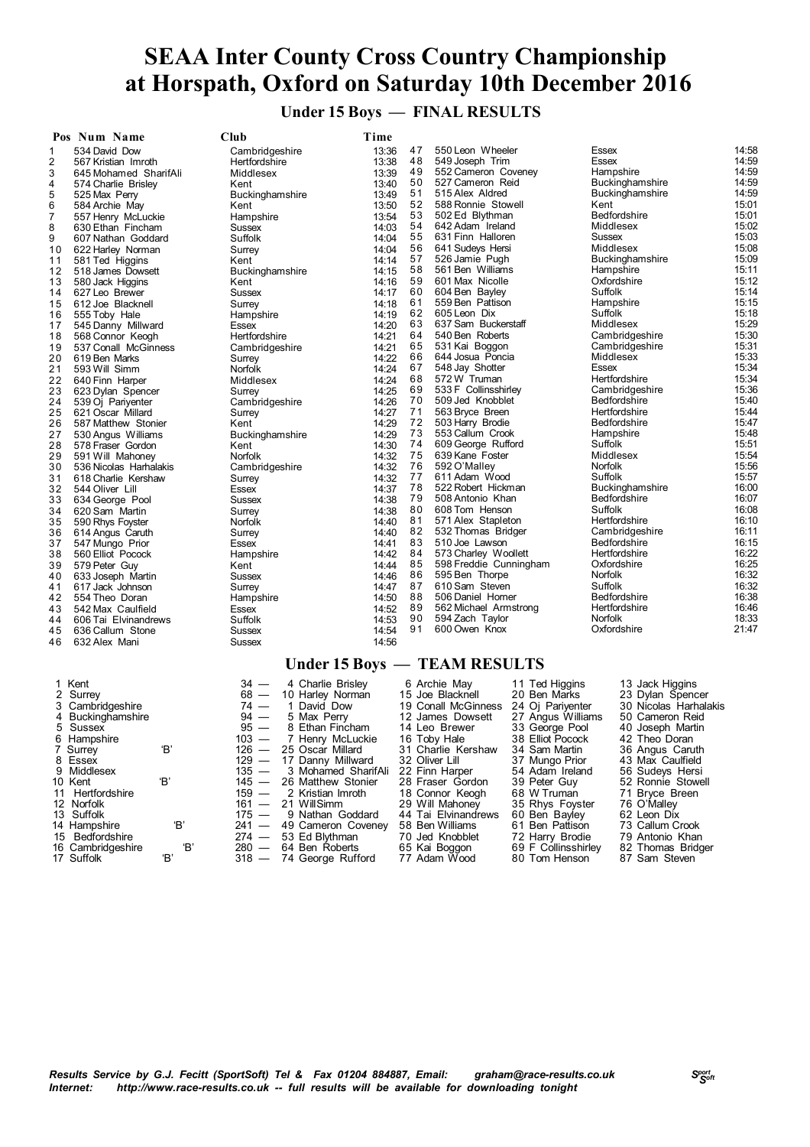**Under 15 Boys — FINAL RESULTS**

|                | Pos Num Name           | Club            | Time            |    |                        |                        |                |
|----------------|------------------------|-----------------|-----------------|----|------------------------|------------------------|----------------|
| 1              | 534 David Dow          | Cambridgeshire  | 13:36           | 47 | 550 Leon Wheeler       | Essex                  | 14:58          |
| $\overline{2}$ | 567 Kristian Imroth    | Hertfordshire   | 13:38           | 48 | 549 Joseph Trim        | Essex                  | 14:59          |
| 3              | 645 Mohamed SharifAli  | Middlesex       | 13:39           | 49 | 552 Cameron Coveney    | Hampshire              | 14:59          |
| 4              | 574 Charlie Brisley    | Kent            | 13:40           | 50 | 527 Cameron Reid       | <b>Buckinghamshire</b> | 14:59          |
| 5              | 525 Max Perry          | Buckinghamshire | 13:49           | 51 | 515 Alex Aldred        | <b>Buckinghamshire</b> | 14:59          |
| 6              | 584 Archie May         | Kent            | 13:50           | 52 | 588 Ronnie Stowell     | Kent                   | 15:01          |
| 7              | 557 Henry McLuckie     | Hampshire       | 13:54           | 53 | 502 Ed Blythman        | Bedfordshire           | 15:01          |
| 8              | 630 Ethan Fincham      | Sussex          | 14:03           | 54 | 642 Adam Ireland       | Middlesex              | 15:02          |
| 9              | 607 Nathan Goddard     | Suffolk         | 14:04           | 55 | 631 Finn Halloren      | Sussex                 | 15:03          |
| 10             | 622 Harley Norman      | Surrey          | 14:04           | 56 | 641 Sudeys Hersi       | Middlesex              | 15:08          |
| 11             | 581 Ted Higgins        | Kent            | 14:14           | 57 | 526 Jamie Pugh         | <b>Buckinghamshire</b> | 15:09          |
| 12             | 518 James Dowsett      | Buckinghamshire | 14:15           | 58 | 561 Ben Williams       | Hampshire              | 15:11          |
| 13             | 580 Jack Higgins       | Kent            | 14:16           | 59 | 601 Max Nicolle        | Oxfordshire            | 15:12          |
| 14             | 627 Leo Brewer         | Sussex          | 14:17           | 60 | 604 Ben Bayley         | Suffolk                | 15:14          |
| 15             | 612 Joe Blacknell      | Surrey          | 14:18           | 61 | 559 Ben Pattison       | Hampshire              | 15:15          |
| 16             | 555 Toby Hale          | Hampshire       | 14:19           | 62 | 605 Leon Dix           | Suffolk                | 15:18          |
| 17             | 545 Danny Millward     | Essex           | 14:20           | 63 | 637 Sam Buckerstaff    | Middlesex              | 15:29          |
| 18             | 568 Connor Keogh       | Hertfordshire   | 14:21           | 64 | 540 Ben Roberts        | Cambridgeshire         | 15:30          |
| 19             | 537 Conall McGinness   | Cambridgeshire  | 14:21           | 65 | 531 Kai Boggon         | Cambridgeshire         | 15:31          |
| 20             | 619 Ben Marks          | Surrey          | 14:22           | 66 | 644 Josua Poncia       | Middlesex              | 15:33          |
| 21             | 593 Will Simm          | <b>Norfolk</b>  | 14:24           | 67 | 548 Jay Shotter        | Essex                  | 15:34          |
| 22             | 640 Finn Harper        | Middlesex       | 14:24           | 68 | 572W Truman            | Hertfordshire          | 15:34          |
| 23             | 623 Dylan Spencer      |                 | 14:25           | 69 | 533 F Collinsshirley   | Cambridgeshire         | 15:36          |
| 24             | 539 Oj Pariyenter      | Surrey          | 14:26           | 70 | 509 Jed Knobblet       | Bedfordshire           | 15:40          |
| 25             |                        | Cambridgeshire  | 14:27           | 71 | 563 Bryce Breen        | Hertfordshire          | 15:44          |
| 26             | 621 Oscar Millard      | Surrey          | 14:29           | 72 | 503 Harry Brodie       | Bedfordshire           | 15:47          |
| 27             | 587 Matthew Stonier    | Kent            | 14:29           | 73 | 553 Callum Crook       | Hampshire              | 15:48          |
|                | 530 Angus Williams     | Buckinghamshire |                 | 74 | 609 George Rufford     | Suffolk                | 15:51          |
| 28             | 578 Fraser Gordon      | Kent            | 14:30           | 75 | 639 Kane Foster        | Middlesex              | 15:54          |
| 29             | 591 Will Mahoney       | <b>Norfolk</b>  | 14:32           | 76 | 592 O'Malley           | Norfolk                | 15:56          |
| 30             | 536 Nicolas Harhalakis | Cambridgeshire  | 14:32           | 77 | 611 Adam Wood          | Suffolk                | 15:57          |
| 31             | 618 Charlie Kershaw    | Surrey          | 14:32           | 78 | 522 Robert Hickman     | Buckinghamshire        | 16:00          |
| 32             | 544 Oliver Lill        | Essex           | 14:37           | 79 | 508 Antonio Khan       | Bedfordshire           | 16:07          |
| 33             | 634 George Pool        | <b>Sussex</b>   | 14:38           | 80 | 608 Tom Henson         | Suffolk                | 16:08          |
| 34             | 620 Sam Martin         | Surrey          | 14:38           | 81 | 571 Alex Stapleton     | Hertfordshire          | 16:10          |
| 35             | 590 Rhys Foyster       | Norfolk         | 14:40           |    |                        |                        |                |
| 36             | 614 Angus Caruth       | Surrey          | 14:40           | 82 | 532 Thomas Bridger     | Cambridgeshire         | 16:11          |
| 37             | 547 Mungo Prior        | Essex           | 14:41           | 83 | 510 Joe Lawson         | Bedfordshire           | 16:15          |
| 38             | 560 Elliot Pocock      | Hampshire       | 14:42           | 84 | 573 Charley Woollett   | Hertfordshire          | 16:22          |
| 39             | 579 Peter Guy          | Kent            | 14:44           | 85 | 598 Freddie Cunningham | Oxfordshire            | 16:25          |
| 40             | 633 Joseph Martin      | <b>Sussex</b>   | 14:46           | 86 | 595 Ben Thorpe         | Norfolk                | 16:32<br>16:32 |
| 41             | 617 Jack Johnson       | Surrey          | 14:47           | 87 | 610 Sam Steven         | Suffolk                |                |
| 42             | 554 Theo Doran         | Hampshire       | 14:50           | 88 | 506 Daniel Homer       | <b>Bedfordshire</b>    | 16:38          |
| 43             | 542 Max Caulfield      | Essex           | 14:52           | 89 | 562 Michael Armstrong  | Hertfordshire          | 16:46          |
| 44             | 606 Tai Elvinandrews   | Suffolk         | 14:53           | 90 | 594 Zach Taylor        | <b>Norfolk</b>         | 18:33          |
| 45             | 636 Callum Stone       | <b>Sussex</b>   | 14:54           | 91 | 600 Owen Knox          | Oxfordshire            | 21:47          |
| 46             | 632 Alex Mani          | <b>Sussex</b>   | 14:56           |    |                        |                        |                |
|                |                        |                 | $Under 15 P ov$ |    | <b>TEAM DECHI TC</b>   |                        |                |

#### **Under 15 Boys — TEAM RESULTS**

| 1 Kent            |     | $34 -$  | 4 Charlie Brisley        | 6 Archie May        | 11 Ted Higgins      | 13 Jack Higgins       |
|-------------------|-----|---------|--------------------------|---------------------|---------------------|-----------------------|
| 2 Surrey          |     | $68 -$  | 10 Harley Norman         | 15 Joe Blacknell    | 20 Ben Marks        | 23 Dylan Spencer      |
| 3 Cambridgeshire  |     | $74 -$  | 1 David Dow              | 19 Conall McGinness | 24 Oj Pariyenter    | 30 Nicolas Harhalakis |
| 4 Buckinghamshire |     | $94 -$  | 5 Max Perrv              | 12 James Dowsett    | 27 Angus Williams   | 50 Cameron Reid       |
| 5 Sussex          |     | $95 -$  | 8 Ethan Fincham          | 14 Leo Brewer       | 33 George Pool      | 40 Joseph Martin      |
| 6 Hampshire       |     |         | 103 - 7 Henry McLuckie   | 16 Toby Hale        | 38 Elliot Pocock    | 42 Theo Doran         |
| 7 Surrey          | 'B' |         | 126 - 25 Oscar Millard   | 31 Charlie Kershaw  | 34 Sam Martin       | 36 Angus Caruth       |
| 8 Essex           |     |         | 129 - 17 Danny Millward  | 32 Oliver Lill      | 37 Mungo Prior      | 43 Max Caulfield      |
| 9 Middlesex       |     | $135 -$ | 3 Mohamed SharifAli      | 22 Finn Harper      | 54 Adam Ireland     | 56 Sudevs Hersi       |
| 10 Kent           | 'В' |         | 145 - 26 Matthew Stonier | 28 Fraser Gordon    | 39 Peter Guy        | 52 Ronnie Stowell     |
| 11 Hertfordshire  |     |         | 159 - 2 Kristian Imroth  | 18 Connor Keogh     | 68 W Truman         | 71 Bryce Breen        |
| 12 Norfolk        |     |         | $161 - 21$ Will Simm     | 29 Will Mahonev     | 35 Rhys Foyster     | 76 O'Malley           |
| 13 Suffolk        |     | $175 -$ | 9 Nathan Goddard         | 44 Tai Elvinandrews | 60 Ben Bavley       | 62 Leon Dix           |
| 14 Hampshire      | 'B' |         | 241 - 49 Cameron Coveney | 58 Ben Williams     | 61 Ben Pattison     | 73 Callum Crook       |
| 15 Bedfordshire   |     |         | 274 - 53 Ed Blythman     | 70 Jed Knobblet     | 72 Harry Brodie     | 79 Antonio Khan       |
| 16 Cambridgeshire | 'В' |         | $280 - 64$ Ben Roberts   | 65 Kai Boggon       | 69 F Collinsshirley | 82 Thomas Bridger     |
| 17 Suffolk        | Έ   |         | 318 - 74 George Rufford  | 77 Adam Wood        | 80 Tom Henson       | 87 Sam Steven         |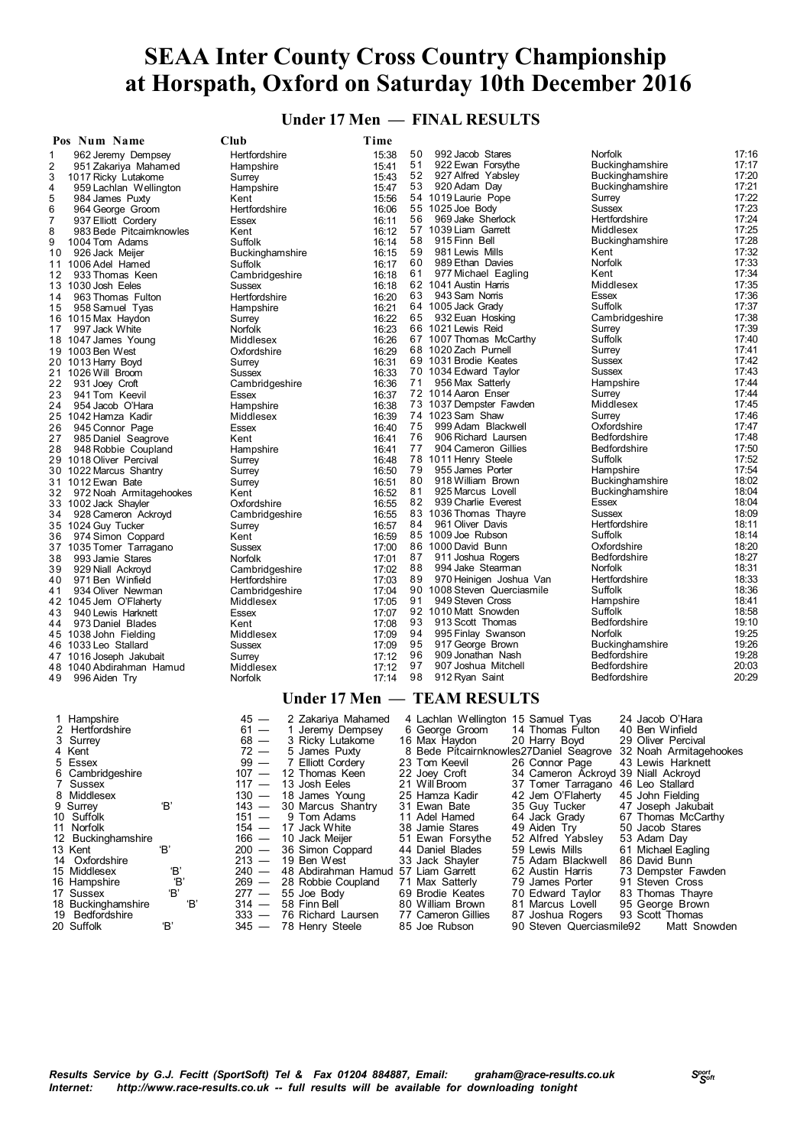**Under 17 Men — FINAL RESULTS**

| Pos Num Name                                         | Club                                       | Time               |          |                                                     |                                                                |                |
|------------------------------------------------------|--------------------------------------------|--------------------|----------|-----------------------------------------------------|----------------------------------------------------------------|----------------|
| $\mathbf 1$<br>962 Jeremy Dempsey                    | Hertfordshire                              | 15:38              | 50       | 992 Jacob Stares                                    | Norfolk                                                        | 17:16          |
| $\overline{\mathbf{c}}$<br>951 Zakariya Mahamed      | Hampshire                                  | 15:41              | 51       | 922 Ewan Forsythe                                   | Buckinghamshire                                                | 17:17          |
| 3<br>1017 Ricky Lutakome                             | Surrey                                     | 15:43              | 52       | 927 Alfred Yabsley                                  | Buckinghamshire                                                | 17:20          |
| 4<br>959 Lachlan Wellington<br>5<br>984 James Puxty  | Hampshire<br>Kent                          | 15:47<br>15:56     | 53       | 920 Adam Day<br>54 1019 Laurie Pope                 | <b>Buckinghamshire</b><br>Surrey                               | 17:21<br>17:22 |
| 6<br>964 George Groom                                | Hertfordshire                              | 16:06              |          | 55 1025 Joe Body                                    | <b>Sussex</b>                                                  | 17:23          |
| 7<br>937 Elliott Cordery                             | Essex                                      | 16:11              | 56       | 969 Jake Sherlock                                   | Hertfordshire                                                  | 17:24          |
| 8<br>983 Bede Pitcaimknowles                         | Kent                                       | 16:12              |          | 57 1039 Liam Garrett                                | Middlesex                                                      | 17:25          |
| 9<br>1004 Tom Adams                                  | Suffolk                                    | 16:14              | 58       | 915 Finn Bell                                       | <b>Buckinghamshire</b>                                         | 17:28          |
| 926 Jack Meijer<br>10<br>11 1006 Adel Hamed          | Buckinghamshire<br>Suffolk                 | 16:15<br>16:17     | 59<br>60 | 981 Lewis Mills<br>989 Ethan Davies                 | Kent<br>Norfolk                                                | 17:32<br>17:33 |
| 933 Thomas Keen<br>12                                | Cambridgeshire                             | 16:18              | 61       | 977 Michael Eagling                                 | Kent                                                           | 17:34          |
| 13 1030 Josh Eeles                                   | <b>Sussex</b>                              | 16:18              |          | 62 1041 Austin Harris                               | Middlesex                                                      | 17:35          |
| 963 Thomas Fulton<br>14                              | Hertfordshire                              | 16:20              | 63       | 943 Sam Norris                                      | <b>Essex</b>                                                   | 17:36          |
| 958 Samuel Tyas<br>15                                | Hampshire                                  | 16:21              |          | 64 1005 Jack Grady                                  | Suffolk                                                        | 17:37<br>17:38 |
| 16 1015 Max Haydon<br>997 Jack White<br>17           | Surrey<br>Norfolk                          | 16:22<br>16:23     | 65       | 932 Euan Hosking<br>66 1021 Lewis Reid              | Cambridgeshire<br>Surrey                                       | 17:39          |
| 18 1047 James Young                                  | Middlesex                                  | 16:26              |          | 67 1007 Thomas McCarthy                             | Suffolk                                                        | 17:40          |
| 19 1003 Ben West                                     | Oxfordshire                                | 16:29              |          | 68 1020 Zach Purnell                                | Surrey                                                         | 17:41          |
| 20 1013 Harry Boyd                                   | Surrey                                     | 16:31              |          | 69 1031 Brodie Keates                               | Sussex                                                         | 17:42          |
| 21 1026 Will Broom                                   | Sussex                                     | 16:33              | 71       | 70 1034 Edward Taylor<br>956 Max Satterly           | Sussex<br>Hampshire                                            | 17:43<br>17:44 |
| 22<br>931 Joey Croft<br>23<br>941 Tom Keevil         | Cambridgeshire<br>Essex                    | 16:36<br>16:37     |          | 72 1014 Aaron Enser                                 | Surrey                                                         | 17:44          |
| 24<br>954 Jacob O'Hara                               | Hampshire                                  | 16:38              |          | 73 1037 Dempster Fawden                             | Middlesex                                                      | 17:45          |
| 25 1042 Hamza Kadir                                  | Middlesex                                  | 16:39              |          | 74 1023 Sam Shaw                                    | Surrey                                                         | 17:46          |
| 26<br>945 Connor Page                                | Essex                                      | 16:40              | 75       | 999 Adam Blackwell                                  | Oxfordshire                                                    | 17:47          |
| 27<br>985 Daniel Seagrove                            | Kent                                       | 16:41<br>16:41     | 76<br>77 | 906 Richard Laursen<br>904 Cameron Gillies          | Bedfordshire<br><b>Bedfordshire</b>                            | 17:48<br>17:50 |
| 28<br>948 Robbie Coupland<br>29 1018 Oliver Percival | Hampshire<br>Surrey                        | 16:48              |          | 78 1011 Henry Steele                                | Suffolk                                                        | 17:52          |
| 30 1022 Marcus Shantry                               | Surrey                                     | 16:50              | 79       | 955 James Porter                                    | Hampshire                                                      | 17:54          |
| 31 1012 Ewan Bate                                    | Surrey                                     | 16:51              | 80       | 918 William Brown                                   | Buckinghamshire                                                | 18:02          |
| 32<br>972 Noah Armitagehookes                        | Kent                                       | 16:52              | 81       | 925 Marcus Lovell                                   | <b>Buckinghamshire</b>                                         | 18:04          |
| 33 1002 Jack Shayler<br>34                           | Oxfordshire                                | 16:55<br>16:55     | 82       | 939 Charlie Everest<br>83 1036 Thomas Thayre        | Essex<br><b>Sussex</b>                                         | 18:04<br>18:09 |
| 928 Cameron Ackroyd<br>35 1024 Guy Tucker            | Cambridgeshire<br>Surrey                   | 16:57              | 84       | 961 Oliver Davis                                    | Hertfordshire                                                  | 18:11          |
| 974 Simon Coppard<br>36                              | Kent                                       | 16:59              |          | 85 1009 Joe Rubson                                  | Suffolk                                                        | 18:14          |
| 37 1035 Tomer Tarragano                              | Sussex                                     | 17:00              |          | 86 1000 David Bunn                                  | Oxfordshire                                                    | 18:20          |
| 38<br>993 Jamie Stares                               | Norfolk                                    | 17:01              | 87<br>88 | 911 Joshua Rogers<br>994 Jake Stearman              | Bedfordshire<br>Norfolk                                        | 18:27<br>18:31 |
| 929 Niall Ackroyd<br>39<br>971 Ben Winfield<br>40    | Cambridgeshire<br>Hertfordshire            | 17:02<br>17:03     | 89       | 970 Heinigen Joshua Van                             | Hertfordshire                                                  | 18:33          |
| 934 Oliver Newman<br>41                              | Cambridgeshire                             | 17:04              |          | 90 1008 Steven Querciasmile                         | Suffolk                                                        | 18:36          |
| 42 1045 Jem O'Flaherty                               | Middlesex                                  | 17:05              | 91       | 949 Steven Cross                                    | Hampshire                                                      | 18:41          |
| 940 Lewis Harknett<br>43                             | Essex                                      | 17:07              |          | 92 1010 Matt Snowden                                | Suffolk                                                        | 18:58          |
| 973 Daniel Blades<br>44                              | Kent                                       | 17:08              | 93<br>94 | 913 Scott Thomas<br>995 Finlay Swanson              | Bedfordshire<br>Norfolk                                        | 19:10<br>19:25 |
| 45 1038 John Fielding<br>46 1033 Leo Stallard        | Middlesex<br><b>Sussex</b>                 | 17:09<br>17:09     | 95       | 917 George Brown                                    | Buckinghamshire                                                | 19:26          |
| 47 1016 Joseph Jakubait                              | Surrey                                     | 17:12              | 96       | 909 Jonathan Nash                                   | <b>Bedfordshire</b>                                            | 19:28          |
| 48 1040 Abdirahman Hamud                             | Middlesex                                  | 17:12              | 97       | 907 Joshua Mitchell                                 | Bedfordshire                                                   | 20:03          |
| 996 Aiden Try<br>49                                  | Norfolk                                    | 17:14              | 98       | 912 Ryan Saint                                      | Bedfordshire                                                   | 20:29          |
|                                                      |                                            |                    |          | Under 17 Men - TEAM RESULTS                         |                                                                |                |
| 1 Hampshire                                          | $45 -$                                     | 2 Zakariya Mahamed |          | 4 Lachlan Wellington 15 Samuel Tyas                 | 24 Jacob O'Hara                                                |                |
| 2 Hertfordshire                                      | $61 -$<br>1                                | Jeremy Dempsey     |          | 6 George Groom                                      | 14 Thomas Fulton<br>40 Ben Winfield                            |                |
| 3 Surrey                                             | 68 —                                       | 3 Ricky Lutakome   |          | 20 Harry Boyd<br>16 Max Haydon                      | 29 Oliver Percival                                             |                |
| 4 Kent                                               | 5 James Puxty<br>72 —                      |                    |          |                                                     | 8 Bede Pitcairnknowles27Daniel Seagrove 32 Noah Armitagehookes |                |
| 5 Essex<br>6 Cambridgeshire                          | $99 -$<br>$107 -$<br>12 Thomas Keen        | 7 Elliott Cordery  |          | 23 Tom Keevil<br>26 Connor Page<br>22 Joey Croft    | 43 Lewis Harknett<br>34 Cameron Ackroyd 39 Niall Ackroyd       |                |
| 7 Sussex                                             | $117 -$<br>13 Josh Eeles                   |                    |          | 21 Will Broom                                       | 37 Tomer Tarragano 46 Leo Stallard                             |                |
| 8 Middlesex                                          | 18 James Young<br>$130 -$                  |                    |          | 25 Hamza Kadir                                      | 42 Jem O'Flaherty<br>45 John Fielding                          |                |
| Έ,<br>9 Surrey                                       | $143 -$                                    | 30 Marcus Shantry  |          | 31 Ewan Bate<br>35 Guy Tucker                       | 47 Joseph Jakubait                                             |                |
| 10 Suffolk                                           | $151 -$<br>9 Tom Adams<br>$154 -$          |                    |          | 11 Adel Hamed<br>64 Jack Grady                      | 67 Thomas McCarthy                                             |                |
| 11 Norfolk<br>12 Buckinghamshire                     | 17 Jack White<br>$166 -$<br>10 Jack Meijer |                    |          | 38 Jamie Stares<br>49 Aiden Try<br>51 Ewan Forsythe | 50 Jacob Stares<br>52 Alfred Yabsley<br>53 Adam Day            |                |
| Έ<br>13 Kent                                         | $200 -$                                    | 36 Simon Coppard   |          | 44 Daniel Blades<br>59 Lewis Mills                  | 61 Michael Eagling                                             |                |
| 14 Oxfordshire                                       | $213 -$<br>19 Ben West                     |                    |          | 33 Jack Shayler                                     | 75 Adam Blackwell<br>86 David Bunn                             |                |

- 
- 

# 15 Middlesex 18<br>
15 Middlesex 18<br>
16 Hampshire 16<br>
16 Hampshire 16<br>
17 Sussex 18<br>
277 — 55 Joe Body 19 Brodie Keates 10 Edward Taylor 83 Thomas Thayre 16 Hampshire 'B' 269 — 28 Robbie Coupland 71 Max Satterly 79 James Porter 91 Steven Cross 17 Sussex 'B' 277 — 55 Joe Body 69 Brodie Keates 70 Edward Taylor 83 Thomas Thayre 18 Buckinghamshire 'B' 314 — 58 Finn Bell 80 William Brown 81 Marcus Lovell 95 George Brown 19 Bedfordshire 333 — 76 Richard Laursen 77 Cameron Gillies 87 Joshua Rogers 93 Scott Thomas

20 Suffolk 'B' 345 — 78 Henry Steele 85 Joe Rubson 90 Steven Querciasmile92 Matt Snowden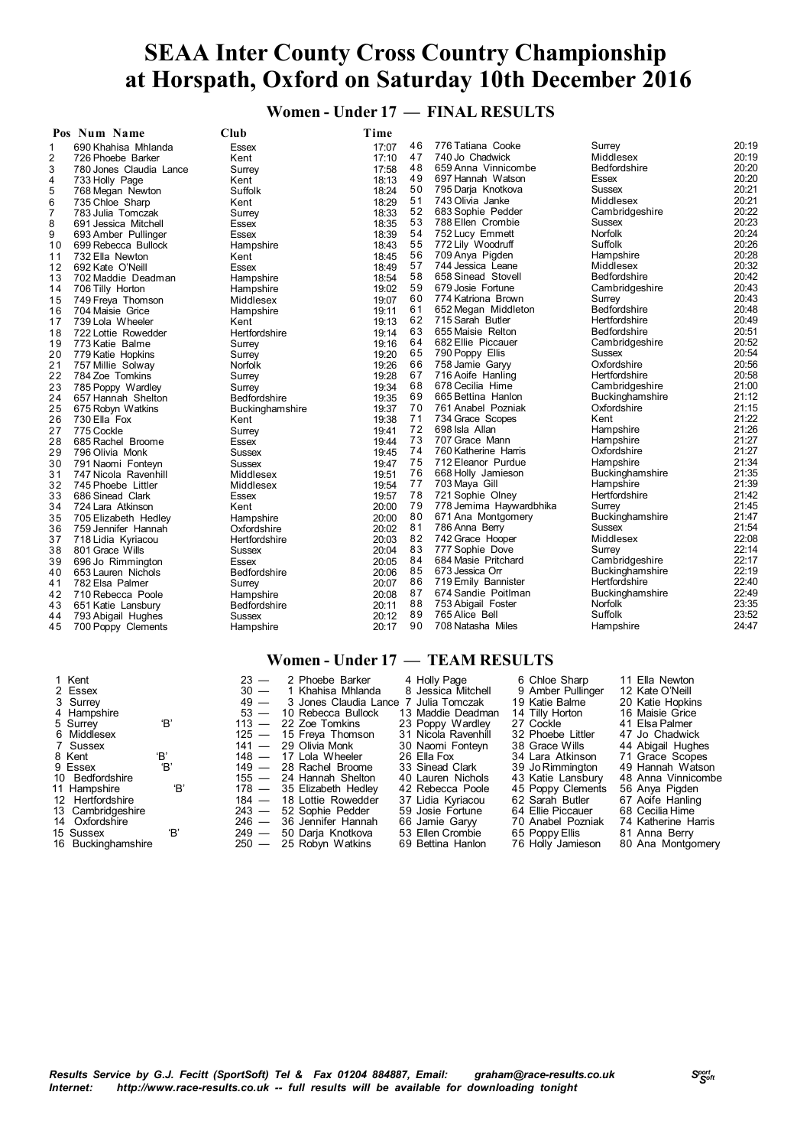**Women - Under 17 — FINAL RESULTS**

| 20:19<br>776 Tatiana Cooke<br>46<br>Surrey<br>17:07<br>690 Khahisa Mhlanda<br>Essex<br>1<br>740 Jo Chadwick<br>20:19<br>47<br>Middlesex<br>2<br>Kent<br>17:10<br>726 Phoebe Barker<br>20:20<br>48<br>659 Anna Vinnicombe<br><b>Bedfordshire</b><br>3<br>17:58<br>780 Jones Claudia Lance<br>Surrey<br>49<br>697 Hannah Watson<br>20:20<br>Essex<br>18:13<br>4<br>733 Holly Page<br>Kent<br>20:21<br>50<br>795 Darja Knotkova<br><b>Sussex</b><br>18:24<br>5<br>Suffolk<br>768 Megan Newton<br>20:21<br>51<br>743 Olivia Janke<br>Middlesex<br>735 Chloe Sharp<br>18:29<br>6<br>Kent<br>20:22<br>52<br>683 Sophie Pedder<br>Cambridgeshire<br>18:33<br>7<br>783 Julia Tomczak<br>Surrey<br>20:23<br>53<br>788 Ellen Crombie<br>Sussex<br>8<br>18:35<br>691 Jessica Mitchell<br>Essex<br>Norfolk<br>20:24<br>54<br>752 Lucy Emmett<br>18:39<br>9<br>693 Amber Pullinger<br>Essex<br>Suffolk<br>20:26<br>55<br>772 Lily Woodruff<br>18:43<br>699 Rebecca Bullock<br>Hampshire<br>10<br>20:28<br>56<br>709 Anya Pigden<br>Hampshire<br>732 Ella Newton<br>18:45<br>11<br>Kent<br>20:32<br>57<br>744 Jessica Leane<br>Middlesex<br>12<br>18:49<br>692 Kate O'Neill<br>Essex<br>20:42<br>58<br>658 Sinead Stovell<br><b>Bedfordshire</b><br>18:54<br>13<br>702 Maddie Deadman<br>Hampshire<br>20:43<br>59<br>679 Josie Fortune<br>19:02<br>Cambridgeshire<br>14<br>706 Tilly Horton<br>Hampshire<br>20:43<br>60<br>774 Katriona Brown<br>Surrey<br>19:07<br>15<br>Middlesex<br>749 Freya Thomson<br>20:48<br>61<br>Bedfordshire<br>652 Megan Middleton<br>19:11<br>16<br>704 Maisie Grice<br>Hampshire<br>62<br>715 Sarah Butler<br>Hertfordshire<br>20:49<br>17<br>739 Lola Wheeler<br>19:13<br>Kent<br>20:51<br>63<br>655 Maisie Relton<br><b>Bedfordshire</b><br>Hertfordshire<br>19:14<br>18<br>722 Lottie Rowedder<br>20:52<br>64<br>682 Ellie Piccauer<br>Cambridgeshire<br>19<br>773 Katie Balme<br>19:16<br>Surrey<br>20:54<br>19:20<br>65<br>790 Poppy Ellis<br>Sussex<br>20<br>779 Katie Hopkins<br>Surrey<br>Oxfordshire<br>20:56<br>66<br>758 Jamie Garyy<br>21<br>19:26<br>757 Millie Solway<br>Norfolk<br>67<br>20:58<br>716 Aoife Hanling<br>Hertfordshire<br>19:28<br>22<br>784 Zoe Tomkins<br>Surrey<br>21:00<br>68<br>678 Cecilia Hime<br>Cambridgeshire<br>23<br>19:34<br>785 Poppy Wardley<br>Surrey<br>69<br>21:12<br>665 Bettina Hanlon<br>Buckinghamshire<br>19:35<br>657 Hannah Shelton<br><b>Bedfordshire</b><br>24<br>70<br>Oxfordshire<br>21:15<br>761 Anabel Pozniak<br>25<br>19:37<br>675 Robyn Watkins<br>Buckinghamshire<br>21:22<br>71<br>734 Grace Scopes<br>Kent<br>26<br>730 Ella Fox<br>19:38<br>Kent<br>21:26<br>72<br>698 Isla Allan<br>Hampshire<br>27<br>775 Cockle<br>19:41<br>Surrey<br>73<br>21:27<br>707 Grace Mann<br>Hampshire<br>28<br>19:44<br>685 Rachel Broome<br>Essex<br>21:27<br>74<br>760 Katherine Harris<br>Oxfordshire<br>29<br>19:45<br>796 Olivia Monk<br>Sussex<br>21:34<br>75<br>712 Eleanor Purdue<br>Hampshire<br>19:47<br>30<br>Sussex<br>791 Naomi Fonteyn<br>21:35<br>76<br>668 Holly Jamieson<br><b>Buckinghamshire</b><br>31<br>Middlesex<br>19:51<br>747 Nicola Ravenhill<br>21:39<br>77<br>703 Maya Gill<br>Hampshire<br>19:54<br>32<br>745 Phoebe Littler<br>Middlesex<br>21:42<br>78<br>721 Sophie Olney<br>Hertfordshire<br>33<br>686 Sinead Clark<br>19:57<br>Essex<br>79<br>21:45<br>778 Jemima Haywardbhika<br>20:00<br>Surrey<br>34<br>724 Lara Atkinson<br>Kent<br>80<br>671 Ana Montgomery<br>21:47<br><b>Buckinghamshire</b><br>20:00<br>35<br>705 Elizabeth Hedley<br>Hampshire<br>21:54<br>81<br>786 Anna Berry<br><b>Sussex</b><br>20:02<br>36<br>759 Jennifer Hannah<br>Oxfordshire<br>82<br>22:08<br>742 Grace Hooper<br>Middlesex<br>20:03<br>37<br>718 Lidia Kyriacou<br>Hertfordshire<br>22:14<br>83<br>777 Sophie Dove<br>Surrey<br>20:04<br>38<br>801 Grace Wills<br>Sussex<br>22:17<br>84<br>684 Masie Pritchard<br>Cambridgeshire<br>20:05<br>39<br>696 Jo Rimmington<br>Essex<br>85<br>22:19<br>673 Jessica Orr<br>Buckinghamshire<br>Bedfordshire<br>20:06<br>40<br>653 Lauren Nichols<br>86<br>Hertfordshire<br>22:40<br>719 Emily Bannister<br>782 Elsa Palmer<br>20:07<br>Surrey<br>41<br>22:49<br>87<br>674 Sandie Poitlman<br>Buckinghamshire<br>20:08<br>42<br>710 Rebecca Poole<br>Hampshire<br><b>Norfolk</b><br>23:35<br>88<br>753 Abigail Foster<br>20:11<br>43<br>651 Katie Lansbury<br>Bedfordshire<br>Suffolk<br>23:52<br>89<br>765 Alice Bell<br>20:12<br>793 Abigail Hughes<br>Sussex<br>44 |    | Pos Num Name       | Cl <sub>u</sub> | Time  |    |                   |           |       |
|----------------------------------------------------------------------------------------------------------------------------------------------------------------------------------------------------------------------------------------------------------------------------------------------------------------------------------------------------------------------------------------------------------------------------------------------------------------------------------------------------------------------------------------------------------------------------------------------------------------------------------------------------------------------------------------------------------------------------------------------------------------------------------------------------------------------------------------------------------------------------------------------------------------------------------------------------------------------------------------------------------------------------------------------------------------------------------------------------------------------------------------------------------------------------------------------------------------------------------------------------------------------------------------------------------------------------------------------------------------------------------------------------------------------------------------------------------------------------------------------------------------------------------------------------------------------------------------------------------------------------------------------------------------------------------------------------------------------------------------------------------------------------------------------------------------------------------------------------------------------------------------------------------------------------------------------------------------------------------------------------------------------------------------------------------------------------------------------------------------------------------------------------------------------------------------------------------------------------------------------------------------------------------------------------------------------------------------------------------------------------------------------------------------------------------------------------------------------------------------------------------------------------------------------------------------------------------------------------------------------------------------------------------------------------------------------------------------------------------------------------------------------------------------------------------------------------------------------------------------------------------------------------------------------------------------------------------------------------------------------------------------------------------------------------------------------------------------------------------------------------------------------------------------------------------------------------------------------------------------------------------------------------------------------------------------------------------------------------------------------------------------------------------------------------------------------------------------------------------------------------------------------------------------------------------------------------------------------------------------------------------------------------------------------------------------------------------------------------------------------------------------------------------------------------------------------------------------------------------------------------------------------------------------------------------------------------------------------------------------------------------------------------------------------------------------------------------------------------------------------------------------------------------------------------------------------------------------------------------------------------------------------------------------------------------------------------------------------------------------------------------------------------------------------------------------------------------------------------------------------------|----|--------------------|-----------------|-------|----|-------------------|-----------|-------|
|                                                                                                                                                                                                                                                                                                                                                                                                                                                                                                                                                                                                                                                                                                                                                                                                                                                                                                                                                                                                                                                                                                                                                                                                                                                                                                                                                                                                                                                                                                                                                                                                                                                                                                                                                                                                                                                                                                                                                                                                                                                                                                                                                                                                                                                                                                                                                                                                                                                                                                                                                                                                                                                                                                                                                                                                                                                                                                                                                                                                                                                                                                                                                                                                                                                                                                                                                                                                                                                                                                                                                                                                                                                                                                                                                                                                                                                                                                                                                                                                                                                                                                                                                                                                                                                                                                                                                                                                                                                                                                    |    |                    |                 |       |    |                   |           |       |
|                                                                                                                                                                                                                                                                                                                                                                                                                                                                                                                                                                                                                                                                                                                                                                                                                                                                                                                                                                                                                                                                                                                                                                                                                                                                                                                                                                                                                                                                                                                                                                                                                                                                                                                                                                                                                                                                                                                                                                                                                                                                                                                                                                                                                                                                                                                                                                                                                                                                                                                                                                                                                                                                                                                                                                                                                                                                                                                                                                                                                                                                                                                                                                                                                                                                                                                                                                                                                                                                                                                                                                                                                                                                                                                                                                                                                                                                                                                                                                                                                                                                                                                                                                                                                                                                                                                                                                                                                                                                                                    |    |                    |                 |       |    |                   |           |       |
|                                                                                                                                                                                                                                                                                                                                                                                                                                                                                                                                                                                                                                                                                                                                                                                                                                                                                                                                                                                                                                                                                                                                                                                                                                                                                                                                                                                                                                                                                                                                                                                                                                                                                                                                                                                                                                                                                                                                                                                                                                                                                                                                                                                                                                                                                                                                                                                                                                                                                                                                                                                                                                                                                                                                                                                                                                                                                                                                                                                                                                                                                                                                                                                                                                                                                                                                                                                                                                                                                                                                                                                                                                                                                                                                                                                                                                                                                                                                                                                                                                                                                                                                                                                                                                                                                                                                                                                                                                                                                                    |    |                    |                 |       |    |                   |           |       |
|                                                                                                                                                                                                                                                                                                                                                                                                                                                                                                                                                                                                                                                                                                                                                                                                                                                                                                                                                                                                                                                                                                                                                                                                                                                                                                                                                                                                                                                                                                                                                                                                                                                                                                                                                                                                                                                                                                                                                                                                                                                                                                                                                                                                                                                                                                                                                                                                                                                                                                                                                                                                                                                                                                                                                                                                                                                                                                                                                                                                                                                                                                                                                                                                                                                                                                                                                                                                                                                                                                                                                                                                                                                                                                                                                                                                                                                                                                                                                                                                                                                                                                                                                                                                                                                                                                                                                                                                                                                                                                    |    |                    |                 |       |    |                   |           |       |
|                                                                                                                                                                                                                                                                                                                                                                                                                                                                                                                                                                                                                                                                                                                                                                                                                                                                                                                                                                                                                                                                                                                                                                                                                                                                                                                                                                                                                                                                                                                                                                                                                                                                                                                                                                                                                                                                                                                                                                                                                                                                                                                                                                                                                                                                                                                                                                                                                                                                                                                                                                                                                                                                                                                                                                                                                                                                                                                                                                                                                                                                                                                                                                                                                                                                                                                                                                                                                                                                                                                                                                                                                                                                                                                                                                                                                                                                                                                                                                                                                                                                                                                                                                                                                                                                                                                                                                                                                                                                                                    |    |                    |                 |       |    |                   |           |       |
|                                                                                                                                                                                                                                                                                                                                                                                                                                                                                                                                                                                                                                                                                                                                                                                                                                                                                                                                                                                                                                                                                                                                                                                                                                                                                                                                                                                                                                                                                                                                                                                                                                                                                                                                                                                                                                                                                                                                                                                                                                                                                                                                                                                                                                                                                                                                                                                                                                                                                                                                                                                                                                                                                                                                                                                                                                                                                                                                                                                                                                                                                                                                                                                                                                                                                                                                                                                                                                                                                                                                                                                                                                                                                                                                                                                                                                                                                                                                                                                                                                                                                                                                                                                                                                                                                                                                                                                                                                                                                                    |    |                    |                 |       |    |                   |           |       |
|                                                                                                                                                                                                                                                                                                                                                                                                                                                                                                                                                                                                                                                                                                                                                                                                                                                                                                                                                                                                                                                                                                                                                                                                                                                                                                                                                                                                                                                                                                                                                                                                                                                                                                                                                                                                                                                                                                                                                                                                                                                                                                                                                                                                                                                                                                                                                                                                                                                                                                                                                                                                                                                                                                                                                                                                                                                                                                                                                                                                                                                                                                                                                                                                                                                                                                                                                                                                                                                                                                                                                                                                                                                                                                                                                                                                                                                                                                                                                                                                                                                                                                                                                                                                                                                                                                                                                                                                                                                                                                    |    |                    |                 |       |    |                   |           |       |
|                                                                                                                                                                                                                                                                                                                                                                                                                                                                                                                                                                                                                                                                                                                                                                                                                                                                                                                                                                                                                                                                                                                                                                                                                                                                                                                                                                                                                                                                                                                                                                                                                                                                                                                                                                                                                                                                                                                                                                                                                                                                                                                                                                                                                                                                                                                                                                                                                                                                                                                                                                                                                                                                                                                                                                                                                                                                                                                                                                                                                                                                                                                                                                                                                                                                                                                                                                                                                                                                                                                                                                                                                                                                                                                                                                                                                                                                                                                                                                                                                                                                                                                                                                                                                                                                                                                                                                                                                                                                                                    |    |                    |                 |       |    |                   |           |       |
|                                                                                                                                                                                                                                                                                                                                                                                                                                                                                                                                                                                                                                                                                                                                                                                                                                                                                                                                                                                                                                                                                                                                                                                                                                                                                                                                                                                                                                                                                                                                                                                                                                                                                                                                                                                                                                                                                                                                                                                                                                                                                                                                                                                                                                                                                                                                                                                                                                                                                                                                                                                                                                                                                                                                                                                                                                                                                                                                                                                                                                                                                                                                                                                                                                                                                                                                                                                                                                                                                                                                                                                                                                                                                                                                                                                                                                                                                                                                                                                                                                                                                                                                                                                                                                                                                                                                                                                                                                                                                                    |    |                    |                 |       |    |                   |           |       |
|                                                                                                                                                                                                                                                                                                                                                                                                                                                                                                                                                                                                                                                                                                                                                                                                                                                                                                                                                                                                                                                                                                                                                                                                                                                                                                                                                                                                                                                                                                                                                                                                                                                                                                                                                                                                                                                                                                                                                                                                                                                                                                                                                                                                                                                                                                                                                                                                                                                                                                                                                                                                                                                                                                                                                                                                                                                                                                                                                                                                                                                                                                                                                                                                                                                                                                                                                                                                                                                                                                                                                                                                                                                                                                                                                                                                                                                                                                                                                                                                                                                                                                                                                                                                                                                                                                                                                                                                                                                                                                    |    |                    |                 |       |    |                   |           |       |
|                                                                                                                                                                                                                                                                                                                                                                                                                                                                                                                                                                                                                                                                                                                                                                                                                                                                                                                                                                                                                                                                                                                                                                                                                                                                                                                                                                                                                                                                                                                                                                                                                                                                                                                                                                                                                                                                                                                                                                                                                                                                                                                                                                                                                                                                                                                                                                                                                                                                                                                                                                                                                                                                                                                                                                                                                                                                                                                                                                                                                                                                                                                                                                                                                                                                                                                                                                                                                                                                                                                                                                                                                                                                                                                                                                                                                                                                                                                                                                                                                                                                                                                                                                                                                                                                                                                                                                                                                                                                                                    |    |                    |                 |       |    |                   |           |       |
|                                                                                                                                                                                                                                                                                                                                                                                                                                                                                                                                                                                                                                                                                                                                                                                                                                                                                                                                                                                                                                                                                                                                                                                                                                                                                                                                                                                                                                                                                                                                                                                                                                                                                                                                                                                                                                                                                                                                                                                                                                                                                                                                                                                                                                                                                                                                                                                                                                                                                                                                                                                                                                                                                                                                                                                                                                                                                                                                                                                                                                                                                                                                                                                                                                                                                                                                                                                                                                                                                                                                                                                                                                                                                                                                                                                                                                                                                                                                                                                                                                                                                                                                                                                                                                                                                                                                                                                                                                                                                                    |    |                    |                 |       |    |                   |           |       |
|                                                                                                                                                                                                                                                                                                                                                                                                                                                                                                                                                                                                                                                                                                                                                                                                                                                                                                                                                                                                                                                                                                                                                                                                                                                                                                                                                                                                                                                                                                                                                                                                                                                                                                                                                                                                                                                                                                                                                                                                                                                                                                                                                                                                                                                                                                                                                                                                                                                                                                                                                                                                                                                                                                                                                                                                                                                                                                                                                                                                                                                                                                                                                                                                                                                                                                                                                                                                                                                                                                                                                                                                                                                                                                                                                                                                                                                                                                                                                                                                                                                                                                                                                                                                                                                                                                                                                                                                                                                                                                    |    |                    |                 |       |    |                   |           |       |
|                                                                                                                                                                                                                                                                                                                                                                                                                                                                                                                                                                                                                                                                                                                                                                                                                                                                                                                                                                                                                                                                                                                                                                                                                                                                                                                                                                                                                                                                                                                                                                                                                                                                                                                                                                                                                                                                                                                                                                                                                                                                                                                                                                                                                                                                                                                                                                                                                                                                                                                                                                                                                                                                                                                                                                                                                                                                                                                                                                                                                                                                                                                                                                                                                                                                                                                                                                                                                                                                                                                                                                                                                                                                                                                                                                                                                                                                                                                                                                                                                                                                                                                                                                                                                                                                                                                                                                                                                                                                                                    |    |                    |                 |       |    |                   |           |       |
|                                                                                                                                                                                                                                                                                                                                                                                                                                                                                                                                                                                                                                                                                                                                                                                                                                                                                                                                                                                                                                                                                                                                                                                                                                                                                                                                                                                                                                                                                                                                                                                                                                                                                                                                                                                                                                                                                                                                                                                                                                                                                                                                                                                                                                                                                                                                                                                                                                                                                                                                                                                                                                                                                                                                                                                                                                                                                                                                                                                                                                                                                                                                                                                                                                                                                                                                                                                                                                                                                                                                                                                                                                                                                                                                                                                                                                                                                                                                                                                                                                                                                                                                                                                                                                                                                                                                                                                                                                                                                                    |    |                    |                 |       |    |                   |           |       |
|                                                                                                                                                                                                                                                                                                                                                                                                                                                                                                                                                                                                                                                                                                                                                                                                                                                                                                                                                                                                                                                                                                                                                                                                                                                                                                                                                                                                                                                                                                                                                                                                                                                                                                                                                                                                                                                                                                                                                                                                                                                                                                                                                                                                                                                                                                                                                                                                                                                                                                                                                                                                                                                                                                                                                                                                                                                                                                                                                                                                                                                                                                                                                                                                                                                                                                                                                                                                                                                                                                                                                                                                                                                                                                                                                                                                                                                                                                                                                                                                                                                                                                                                                                                                                                                                                                                                                                                                                                                                                                    |    |                    |                 |       |    |                   |           |       |
|                                                                                                                                                                                                                                                                                                                                                                                                                                                                                                                                                                                                                                                                                                                                                                                                                                                                                                                                                                                                                                                                                                                                                                                                                                                                                                                                                                                                                                                                                                                                                                                                                                                                                                                                                                                                                                                                                                                                                                                                                                                                                                                                                                                                                                                                                                                                                                                                                                                                                                                                                                                                                                                                                                                                                                                                                                                                                                                                                                                                                                                                                                                                                                                                                                                                                                                                                                                                                                                                                                                                                                                                                                                                                                                                                                                                                                                                                                                                                                                                                                                                                                                                                                                                                                                                                                                                                                                                                                                                                                    |    |                    |                 |       |    |                   |           |       |
|                                                                                                                                                                                                                                                                                                                                                                                                                                                                                                                                                                                                                                                                                                                                                                                                                                                                                                                                                                                                                                                                                                                                                                                                                                                                                                                                                                                                                                                                                                                                                                                                                                                                                                                                                                                                                                                                                                                                                                                                                                                                                                                                                                                                                                                                                                                                                                                                                                                                                                                                                                                                                                                                                                                                                                                                                                                                                                                                                                                                                                                                                                                                                                                                                                                                                                                                                                                                                                                                                                                                                                                                                                                                                                                                                                                                                                                                                                                                                                                                                                                                                                                                                                                                                                                                                                                                                                                                                                                                                                    |    |                    |                 |       |    |                   |           |       |
|                                                                                                                                                                                                                                                                                                                                                                                                                                                                                                                                                                                                                                                                                                                                                                                                                                                                                                                                                                                                                                                                                                                                                                                                                                                                                                                                                                                                                                                                                                                                                                                                                                                                                                                                                                                                                                                                                                                                                                                                                                                                                                                                                                                                                                                                                                                                                                                                                                                                                                                                                                                                                                                                                                                                                                                                                                                                                                                                                                                                                                                                                                                                                                                                                                                                                                                                                                                                                                                                                                                                                                                                                                                                                                                                                                                                                                                                                                                                                                                                                                                                                                                                                                                                                                                                                                                                                                                                                                                                                                    |    |                    |                 |       |    |                   |           |       |
|                                                                                                                                                                                                                                                                                                                                                                                                                                                                                                                                                                                                                                                                                                                                                                                                                                                                                                                                                                                                                                                                                                                                                                                                                                                                                                                                                                                                                                                                                                                                                                                                                                                                                                                                                                                                                                                                                                                                                                                                                                                                                                                                                                                                                                                                                                                                                                                                                                                                                                                                                                                                                                                                                                                                                                                                                                                                                                                                                                                                                                                                                                                                                                                                                                                                                                                                                                                                                                                                                                                                                                                                                                                                                                                                                                                                                                                                                                                                                                                                                                                                                                                                                                                                                                                                                                                                                                                                                                                                                                    |    |                    |                 |       |    |                   |           |       |
|                                                                                                                                                                                                                                                                                                                                                                                                                                                                                                                                                                                                                                                                                                                                                                                                                                                                                                                                                                                                                                                                                                                                                                                                                                                                                                                                                                                                                                                                                                                                                                                                                                                                                                                                                                                                                                                                                                                                                                                                                                                                                                                                                                                                                                                                                                                                                                                                                                                                                                                                                                                                                                                                                                                                                                                                                                                                                                                                                                                                                                                                                                                                                                                                                                                                                                                                                                                                                                                                                                                                                                                                                                                                                                                                                                                                                                                                                                                                                                                                                                                                                                                                                                                                                                                                                                                                                                                                                                                                                                    |    |                    |                 |       |    |                   |           |       |
|                                                                                                                                                                                                                                                                                                                                                                                                                                                                                                                                                                                                                                                                                                                                                                                                                                                                                                                                                                                                                                                                                                                                                                                                                                                                                                                                                                                                                                                                                                                                                                                                                                                                                                                                                                                                                                                                                                                                                                                                                                                                                                                                                                                                                                                                                                                                                                                                                                                                                                                                                                                                                                                                                                                                                                                                                                                                                                                                                                                                                                                                                                                                                                                                                                                                                                                                                                                                                                                                                                                                                                                                                                                                                                                                                                                                                                                                                                                                                                                                                                                                                                                                                                                                                                                                                                                                                                                                                                                                                                    |    |                    |                 |       |    |                   |           |       |
|                                                                                                                                                                                                                                                                                                                                                                                                                                                                                                                                                                                                                                                                                                                                                                                                                                                                                                                                                                                                                                                                                                                                                                                                                                                                                                                                                                                                                                                                                                                                                                                                                                                                                                                                                                                                                                                                                                                                                                                                                                                                                                                                                                                                                                                                                                                                                                                                                                                                                                                                                                                                                                                                                                                                                                                                                                                                                                                                                                                                                                                                                                                                                                                                                                                                                                                                                                                                                                                                                                                                                                                                                                                                                                                                                                                                                                                                                                                                                                                                                                                                                                                                                                                                                                                                                                                                                                                                                                                                                                    |    |                    |                 |       |    |                   |           |       |
|                                                                                                                                                                                                                                                                                                                                                                                                                                                                                                                                                                                                                                                                                                                                                                                                                                                                                                                                                                                                                                                                                                                                                                                                                                                                                                                                                                                                                                                                                                                                                                                                                                                                                                                                                                                                                                                                                                                                                                                                                                                                                                                                                                                                                                                                                                                                                                                                                                                                                                                                                                                                                                                                                                                                                                                                                                                                                                                                                                                                                                                                                                                                                                                                                                                                                                                                                                                                                                                                                                                                                                                                                                                                                                                                                                                                                                                                                                                                                                                                                                                                                                                                                                                                                                                                                                                                                                                                                                                                                                    |    |                    |                 |       |    |                   |           |       |
|                                                                                                                                                                                                                                                                                                                                                                                                                                                                                                                                                                                                                                                                                                                                                                                                                                                                                                                                                                                                                                                                                                                                                                                                                                                                                                                                                                                                                                                                                                                                                                                                                                                                                                                                                                                                                                                                                                                                                                                                                                                                                                                                                                                                                                                                                                                                                                                                                                                                                                                                                                                                                                                                                                                                                                                                                                                                                                                                                                                                                                                                                                                                                                                                                                                                                                                                                                                                                                                                                                                                                                                                                                                                                                                                                                                                                                                                                                                                                                                                                                                                                                                                                                                                                                                                                                                                                                                                                                                                                                    |    |                    |                 |       |    |                   |           |       |
|                                                                                                                                                                                                                                                                                                                                                                                                                                                                                                                                                                                                                                                                                                                                                                                                                                                                                                                                                                                                                                                                                                                                                                                                                                                                                                                                                                                                                                                                                                                                                                                                                                                                                                                                                                                                                                                                                                                                                                                                                                                                                                                                                                                                                                                                                                                                                                                                                                                                                                                                                                                                                                                                                                                                                                                                                                                                                                                                                                                                                                                                                                                                                                                                                                                                                                                                                                                                                                                                                                                                                                                                                                                                                                                                                                                                                                                                                                                                                                                                                                                                                                                                                                                                                                                                                                                                                                                                                                                                                                    |    |                    |                 |       |    |                   |           |       |
|                                                                                                                                                                                                                                                                                                                                                                                                                                                                                                                                                                                                                                                                                                                                                                                                                                                                                                                                                                                                                                                                                                                                                                                                                                                                                                                                                                                                                                                                                                                                                                                                                                                                                                                                                                                                                                                                                                                                                                                                                                                                                                                                                                                                                                                                                                                                                                                                                                                                                                                                                                                                                                                                                                                                                                                                                                                                                                                                                                                                                                                                                                                                                                                                                                                                                                                                                                                                                                                                                                                                                                                                                                                                                                                                                                                                                                                                                                                                                                                                                                                                                                                                                                                                                                                                                                                                                                                                                                                                                                    |    |                    |                 |       |    |                   |           |       |
|                                                                                                                                                                                                                                                                                                                                                                                                                                                                                                                                                                                                                                                                                                                                                                                                                                                                                                                                                                                                                                                                                                                                                                                                                                                                                                                                                                                                                                                                                                                                                                                                                                                                                                                                                                                                                                                                                                                                                                                                                                                                                                                                                                                                                                                                                                                                                                                                                                                                                                                                                                                                                                                                                                                                                                                                                                                                                                                                                                                                                                                                                                                                                                                                                                                                                                                                                                                                                                                                                                                                                                                                                                                                                                                                                                                                                                                                                                                                                                                                                                                                                                                                                                                                                                                                                                                                                                                                                                                                                                    |    |                    |                 |       |    |                   |           |       |
|                                                                                                                                                                                                                                                                                                                                                                                                                                                                                                                                                                                                                                                                                                                                                                                                                                                                                                                                                                                                                                                                                                                                                                                                                                                                                                                                                                                                                                                                                                                                                                                                                                                                                                                                                                                                                                                                                                                                                                                                                                                                                                                                                                                                                                                                                                                                                                                                                                                                                                                                                                                                                                                                                                                                                                                                                                                                                                                                                                                                                                                                                                                                                                                                                                                                                                                                                                                                                                                                                                                                                                                                                                                                                                                                                                                                                                                                                                                                                                                                                                                                                                                                                                                                                                                                                                                                                                                                                                                                                                    |    |                    |                 |       |    |                   |           |       |
|                                                                                                                                                                                                                                                                                                                                                                                                                                                                                                                                                                                                                                                                                                                                                                                                                                                                                                                                                                                                                                                                                                                                                                                                                                                                                                                                                                                                                                                                                                                                                                                                                                                                                                                                                                                                                                                                                                                                                                                                                                                                                                                                                                                                                                                                                                                                                                                                                                                                                                                                                                                                                                                                                                                                                                                                                                                                                                                                                                                                                                                                                                                                                                                                                                                                                                                                                                                                                                                                                                                                                                                                                                                                                                                                                                                                                                                                                                                                                                                                                                                                                                                                                                                                                                                                                                                                                                                                                                                                                                    |    |                    |                 |       |    |                   |           |       |
|                                                                                                                                                                                                                                                                                                                                                                                                                                                                                                                                                                                                                                                                                                                                                                                                                                                                                                                                                                                                                                                                                                                                                                                                                                                                                                                                                                                                                                                                                                                                                                                                                                                                                                                                                                                                                                                                                                                                                                                                                                                                                                                                                                                                                                                                                                                                                                                                                                                                                                                                                                                                                                                                                                                                                                                                                                                                                                                                                                                                                                                                                                                                                                                                                                                                                                                                                                                                                                                                                                                                                                                                                                                                                                                                                                                                                                                                                                                                                                                                                                                                                                                                                                                                                                                                                                                                                                                                                                                                                                    |    |                    |                 |       |    |                   |           |       |
|                                                                                                                                                                                                                                                                                                                                                                                                                                                                                                                                                                                                                                                                                                                                                                                                                                                                                                                                                                                                                                                                                                                                                                                                                                                                                                                                                                                                                                                                                                                                                                                                                                                                                                                                                                                                                                                                                                                                                                                                                                                                                                                                                                                                                                                                                                                                                                                                                                                                                                                                                                                                                                                                                                                                                                                                                                                                                                                                                                                                                                                                                                                                                                                                                                                                                                                                                                                                                                                                                                                                                                                                                                                                                                                                                                                                                                                                                                                                                                                                                                                                                                                                                                                                                                                                                                                                                                                                                                                                                                    |    |                    |                 |       |    |                   |           |       |
|                                                                                                                                                                                                                                                                                                                                                                                                                                                                                                                                                                                                                                                                                                                                                                                                                                                                                                                                                                                                                                                                                                                                                                                                                                                                                                                                                                                                                                                                                                                                                                                                                                                                                                                                                                                                                                                                                                                                                                                                                                                                                                                                                                                                                                                                                                                                                                                                                                                                                                                                                                                                                                                                                                                                                                                                                                                                                                                                                                                                                                                                                                                                                                                                                                                                                                                                                                                                                                                                                                                                                                                                                                                                                                                                                                                                                                                                                                                                                                                                                                                                                                                                                                                                                                                                                                                                                                                                                                                                                                    |    |                    |                 |       |    |                   |           |       |
|                                                                                                                                                                                                                                                                                                                                                                                                                                                                                                                                                                                                                                                                                                                                                                                                                                                                                                                                                                                                                                                                                                                                                                                                                                                                                                                                                                                                                                                                                                                                                                                                                                                                                                                                                                                                                                                                                                                                                                                                                                                                                                                                                                                                                                                                                                                                                                                                                                                                                                                                                                                                                                                                                                                                                                                                                                                                                                                                                                                                                                                                                                                                                                                                                                                                                                                                                                                                                                                                                                                                                                                                                                                                                                                                                                                                                                                                                                                                                                                                                                                                                                                                                                                                                                                                                                                                                                                                                                                                                                    |    |                    |                 |       |    |                   |           |       |
|                                                                                                                                                                                                                                                                                                                                                                                                                                                                                                                                                                                                                                                                                                                                                                                                                                                                                                                                                                                                                                                                                                                                                                                                                                                                                                                                                                                                                                                                                                                                                                                                                                                                                                                                                                                                                                                                                                                                                                                                                                                                                                                                                                                                                                                                                                                                                                                                                                                                                                                                                                                                                                                                                                                                                                                                                                                                                                                                                                                                                                                                                                                                                                                                                                                                                                                                                                                                                                                                                                                                                                                                                                                                                                                                                                                                                                                                                                                                                                                                                                                                                                                                                                                                                                                                                                                                                                                                                                                                                                    |    |                    |                 |       |    |                   |           |       |
|                                                                                                                                                                                                                                                                                                                                                                                                                                                                                                                                                                                                                                                                                                                                                                                                                                                                                                                                                                                                                                                                                                                                                                                                                                                                                                                                                                                                                                                                                                                                                                                                                                                                                                                                                                                                                                                                                                                                                                                                                                                                                                                                                                                                                                                                                                                                                                                                                                                                                                                                                                                                                                                                                                                                                                                                                                                                                                                                                                                                                                                                                                                                                                                                                                                                                                                                                                                                                                                                                                                                                                                                                                                                                                                                                                                                                                                                                                                                                                                                                                                                                                                                                                                                                                                                                                                                                                                                                                                                                                    |    |                    |                 |       |    |                   |           |       |
|                                                                                                                                                                                                                                                                                                                                                                                                                                                                                                                                                                                                                                                                                                                                                                                                                                                                                                                                                                                                                                                                                                                                                                                                                                                                                                                                                                                                                                                                                                                                                                                                                                                                                                                                                                                                                                                                                                                                                                                                                                                                                                                                                                                                                                                                                                                                                                                                                                                                                                                                                                                                                                                                                                                                                                                                                                                                                                                                                                                                                                                                                                                                                                                                                                                                                                                                                                                                                                                                                                                                                                                                                                                                                                                                                                                                                                                                                                                                                                                                                                                                                                                                                                                                                                                                                                                                                                                                                                                                                                    |    |                    |                 |       |    |                   |           |       |
|                                                                                                                                                                                                                                                                                                                                                                                                                                                                                                                                                                                                                                                                                                                                                                                                                                                                                                                                                                                                                                                                                                                                                                                                                                                                                                                                                                                                                                                                                                                                                                                                                                                                                                                                                                                                                                                                                                                                                                                                                                                                                                                                                                                                                                                                                                                                                                                                                                                                                                                                                                                                                                                                                                                                                                                                                                                                                                                                                                                                                                                                                                                                                                                                                                                                                                                                                                                                                                                                                                                                                                                                                                                                                                                                                                                                                                                                                                                                                                                                                                                                                                                                                                                                                                                                                                                                                                                                                                                                                                    |    |                    |                 |       |    |                   |           |       |
|                                                                                                                                                                                                                                                                                                                                                                                                                                                                                                                                                                                                                                                                                                                                                                                                                                                                                                                                                                                                                                                                                                                                                                                                                                                                                                                                                                                                                                                                                                                                                                                                                                                                                                                                                                                                                                                                                                                                                                                                                                                                                                                                                                                                                                                                                                                                                                                                                                                                                                                                                                                                                                                                                                                                                                                                                                                                                                                                                                                                                                                                                                                                                                                                                                                                                                                                                                                                                                                                                                                                                                                                                                                                                                                                                                                                                                                                                                                                                                                                                                                                                                                                                                                                                                                                                                                                                                                                                                                                                                    |    |                    |                 |       |    |                   |           |       |
|                                                                                                                                                                                                                                                                                                                                                                                                                                                                                                                                                                                                                                                                                                                                                                                                                                                                                                                                                                                                                                                                                                                                                                                                                                                                                                                                                                                                                                                                                                                                                                                                                                                                                                                                                                                                                                                                                                                                                                                                                                                                                                                                                                                                                                                                                                                                                                                                                                                                                                                                                                                                                                                                                                                                                                                                                                                                                                                                                                                                                                                                                                                                                                                                                                                                                                                                                                                                                                                                                                                                                                                                                                                                                                                                                                                                                                                                                                                                                                                                                                                                                                                                                                                                                                                                                                                                                                                                                                                                                                    |    |                    |                 |       |    |                   |           |       |
|                                                                                                                                                                                                                                                                                                                                                                                                                                                                                                                                                                                                                                                                                                                                                                                                                                                                                                                                                                                                                                                                                                                                                                                                                                                                                                                                                                                                                                                                                                                                                                                                                                                                                                                                                                                                                                                                                                                                                                                                                                                                                                                                                                                                                                                                                                                                                                                                                                                                                                                                                                                                                                                                                                                                                                                                                                                                                                                                                                                                                                                                                                                                                                                                                                                                                                                                                                                                                                                                                                                                                                                                                                                                                                                                                                                                                                                                                                                                                                                                                                                                                                                                                                                                                                                                                                                                                                                                                                                                                                    |    |                    |                 |       |    |                   |           |       |
|                                                                                                                                                                                                                                                                                                                                                                                                                                                                                                                                                                                                                                                                                                                                                                                                                                                                                                                                                                                                                                                                                                                                                                                                                                                                                                                                                                                                                                                                                                                                                                                                                                                                                                                                                                                                                                                                                                                                                                                                                                                                                                                                                                                                                                                                                                                                                                                                                                                                                                                                                                                                                                                                                                                                                                                                                                                                                                                                                                                                                                                                                                                                                                                                                                                                                                                                                                                                                                                                                                                                                                                                                                                                                                                                                                                                                                                                                                                                                                                                                                                                                                                                                                                                                                                                                                                                                                                                                                                                                                    |    |                    |                 |       |    |                   |           |       |
|                                                                                                                                                                                                                                                                                                                                                                                                                                                                                                                                                                                                                                                                                                                                                                                                                                                                                                                                                                                                                                                                                                                                                                                                                                                                                                                                                                                                                                                                                                                                                                                                                                                                                                                                                                                                                                                                                                                                                                                                                                                                                                                                                                                                                                                                                                                                                                                                                                                                                                                                                                                                                                                                                                                                                                                                                                                                                                                                                                                                                                                                                                                                                                                                                                                                                                                                                                                                                                                                                                                                                                                                                                                                                                                                                                                                                                                                                                                                                                                                                                                                                                                                                                                                                                                                                                                                                                                                                                                                                                    |    |                    |                 |       |    |                   |           |       |
|                                                                                                                                                                                                                                                                                                                                                                                                                                                                                                                                                                                                                                                                                                                                                                                                                                                                                                                                                                                                                                                                                                                                                                                                                                                                                                                                                                                                                                                                                                                                                                                                                                                                                                                                                                                                                                                                                                                                                                                                                                                                                                                                                                                                                                                                                                                                                                                                                                                                                                                                                                                                                                                                                                                                                                                                                                                                                                                                                                                                                                                                                                                                                                                                                                                                                                                                                                                                                                                                                                                                                                                                                                                                                                                                                                                                                                                                                                                                                                                                                                                                                                                                                                                                                                                                                                                                                                                                                                                                                                    |    |                    |                 |       |    |                   |           |       |
|                                                                                                                                                                                                                                                                                                                                                                                                                                                                                                                                                                                                                                                                                                                                                                                                                                                                                                                                                                                                                                                                                                                                                                                                                                                                                                                                                                                                                                                                                                                                                                                                                                                                                                                                                                                                                                                                                                                                                                                                                                                                                                                                                                                                                                                                                                                                                                                                                                                                                                                                                                                                                                                                                                                                                                                                                                                                                                                                                                                                                                                                                                                                                                                                                                                                                                                                                                                                                                                                                                                                                                                                                                                                                                                                                                                                                                                                                                                                                                                                                                                                                                                                                                                                                                                                                                                                                                                                                                                                                                    | 45 | 700 Poppy Clements | Hampshire       | 20:17 | 90 | 708 Natasha Miles | Hampshire | 24:47 |

#### **Women - Under 17 — TEAM RESULTS**

| 1 Kent             |     | $23 -$  | 2 Phoebe Barker                       | 4 Holly Page        | 6 Chloe Sharp     | 11 Ella Newton      |
|--------------------|-----|---------|---------------------------------------|---------------------|-------------------|---------------------|
| 2 Essex            |     | $30 -$  | 1 Khahisa Mhlanda                     | 8 Jessica Mitchell  | 9 Amber Pullinger | 12 Kate O'Neill     |
| 3 Surrey           |     | $49 -$  | 3 Jones Claudia Lance 7 Julia Tomczak |                     | 19 Katie Balme    | 20 Katie Hopkins    |
| 4 Hampshire        |     | $53 -$  | 10 Rebecca Bullock                    | 13 Maddie Deadman   | 14 Tilly Horton   | 16 Maisie Grice     |
| 5 Surrey           | 'B' |         | $113 - 22$ Zoe Tomkins                | 23 Poppy Wardley    | 27 Cockle         | 41 Elsa Palmer      |
| 6 Middlesex        |     |         | 125 - 15 Freya Thomson                | 31 Nicola Ravenhill | 32 Phoebe Littler | 47 Jo Chadwick      |
| 7 Sussex           |     |         | 141 — 29 Olivia Monk                  | 30 Naomi Fontevn    | 38 Grace Wills    | 44 Abigail Hughes   |
| 8 Kent             | 'В' |         | $148 - 17$ Lola Wheeler               | 26 Ella Fox         | 34 Lara Atkinson  | 71 Grace Scopes     |
| 9 Essex            | 'В' |         | 149 - 28 Rachel Broome                | 33 Sinead Clark     | 39 Jo Rimmington  | 49 Hannah Watson    |
| 10 Bedfordshire    |     |         | $155 - 24$ Hannah Shelton             | 40 Lauren Nichols   | 43 Katie Lansbury | 48 Anna Vinnicombe  |
| 11 Hampshire       | 'В' |         | 178 - 35 Elizabeth Hedley             | 42 Rebecca Poole    | 45 Poppy Clements | 56 Anya Pigden      |
| 12 Hertfordshire   |     | 184 —   | 18 Lottie Rowedder                    | 37 Lidia Kyriacou   | 62 Sarah Butler   | 67 Aoife Hanling    |
| 13 Cambridgeshire  |     | $243 -$ | 52 Sophie Pedder                      | 59 Josie Fortune    | 64 Ellie Piccauer | 68 Cecilia Hime     |
| 14 Oxfordshire     |     |         | 246 — 36 Jennifer Hannah              | 66 Jamie Garyy      | 70 Anabel Pozniak | 74 Katherine Harris |
| 15 Sussex          | 'B' | $249 -$ | 50 Darja Knotkova                     | 53 Ellen Crombie    | 65 Poppy Ellis    | 81 Anna Berry       |
| 16 Buckinghamshire |     | $250 -$ | 25 Robyn Watkins                      | 69 Bettina Hanlon   | 76 Holly Jamieson | 80 Ana Montgomery   |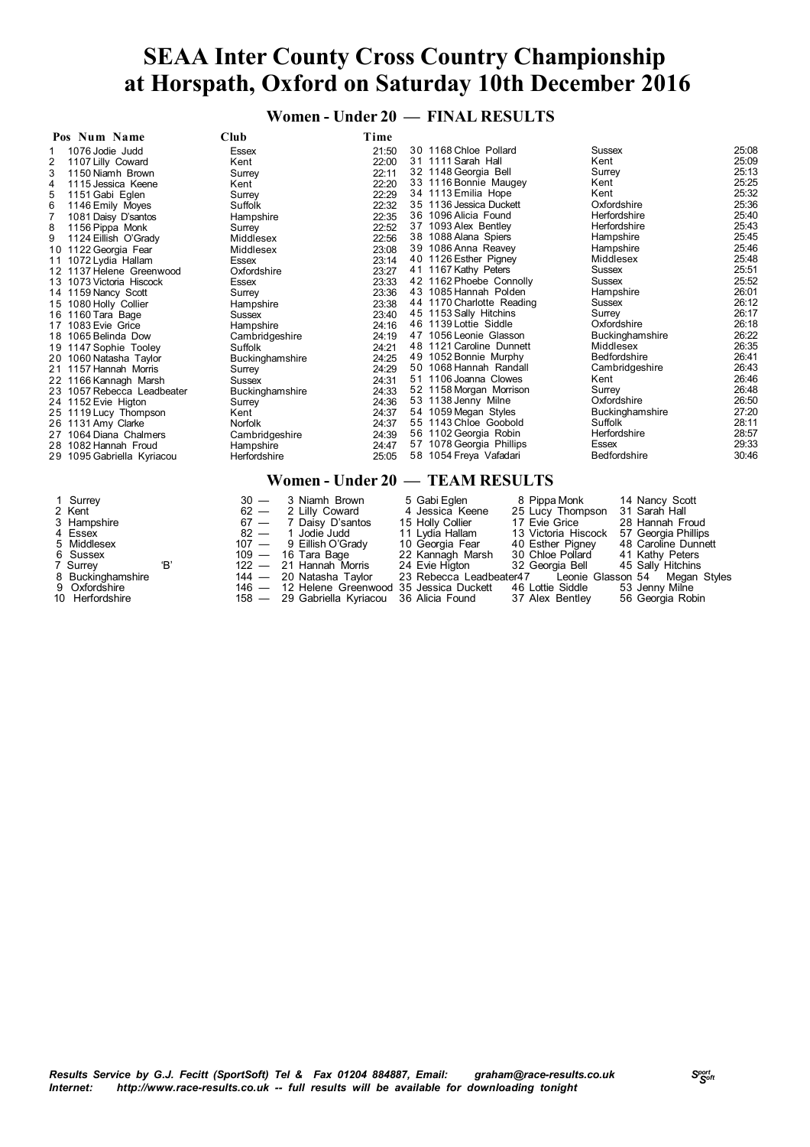**Women - Under 20 — FINAL RESULTS**

| Pos Num Name                        | Club                   | Time  |                                 |                 |       |
|-------------------------------------|------------------------|-------|---------------------------------|-----------------|-------|
| 1076 Jodie Judd                     | Essex                  | 21:50 | 30 1168 Chloe Pollard           | Sussex          | 25:08 |
| $\overline{2}$<br>1107 Lilly Coward | Kent                   | 22:00 | 31 1111 Sarah Hall              | Kent            | 25:09 |
| 1150 Niamh Brown                    | Surrey                 | 22:11 | 32 1148 Georgia Bell            | Surrey          | 25:13 |
| 1115 Jessica Keene<br>4             | Kent                   | 22:20 | 33 1116 Bonnie Maugey           | Kent            | 25:25 |
| 1151 Gabi Eglen<br>5                | Surrey                 | 22:29 | 34 1113 Emilia Hope             | Kent            | 25:32 |
| 6<br>1146 Emily Moyes               | Suffolk                | 22:32 | 35 1136 Jessica Duckett         | Oxfordshire     | 25:36 |
| 1081 Daisy D'santos                 | Hampshire              | 22:35 | 36 1096 Alicia Found            | Herfordshire    | 25:40 |
| 8<br>1156 Pippa Monk                | Surrey                 | 22:52 | 37 1093 Alex Bentley            | Herfordshire    | 25:43 |
| 9<br>1124 Eillish O'Grady           | Middlesex              | 22:56 | 38 1088 Alana Spiers            | Hampshire       | 25:45 |
| 10 1122 Georgia Fear                | Middlesex              | 23:08 | 39 1086 Anna Reavey             | Hampshire       | 25:46 |
| 1072 Lydia Hallam<br>11             | Essex                  | 23:14 | 40 1126 Esther Pigney           | Middlesex       | 25:48 |
| 12 1137 Helene Greenwood            | Oxfordshire            | 23:27 | 41 1167 Kathy Peters            | Sussex          | 25:51 |
| 13 1073 Victoria Hiscock            | Essex                  | 23:33 | 42 1162 Phoebe Connolly         | <b>Sussex</b>   | 25:52 |
| 14 1159 Nancy Scott                 | Surrey                 | 23:36 | 43 1085 Hannah Polden           | Hampshire       | 26:01 |
| 15 1080 Holly Collier               | Hampshire              | 23:38 | 44 1170 Charlotte Reading       | Sussex          | 26:12 |
| 16 1160 Tara Bage                   | <b>Sussex</b>          | 23:40 | 45 1153 Sally Hitchins          | Surrey          | 26:17 |
| 17 1083 Evie Grice                  | Hampshire              | 24:16 | 46 1139 Lottie Siddle           | Oxfordshire     | 26:18 |
| 18 1065 Belinda Dow                 | Cambridgeshire         | 24:19 | 47 1056 Leonie Glasson          | Buckinghamshire | 26:22 |
| 19 1147 Sophie Tooley               | Suffolk                | 24:21 | 48 1121 Caroline Dunnett        | Middlesex       | 26:35 |
| 20 1060 Natasha Taylor              | <b>Buckinghamshire</b> | 24:25 | 49 1052 Bonnie Murphy           | Bedfordshire    | 26:41 |
| 21 1157 Hannah Morris               | Surrey                 | 24:29 | 50 1068 Hannah Randall          | Cambridgeshire  | 26:43 |
| 22 1166 Kannagh Marsh               | Sussex                 | 24:31 | 51 1106 Joanna Clowes           | Kent            | 26:46 |
| 23 1057 Rebecca Leadbeater          | Buckinghamshire        | 24:33 | 52 1158 Morgan Morrison         | Surrey          | 26:48 |
| 24 1152 Evie Higton                 | Surrey                 | 24:36 | 53 1138 Jenny Milne             | Oxfordshire     | 26:50 |
| 25 1119 Lucy Thompson               | Kent                   | 24:37 | 54 1059 Megan Styles            | Buckinghamshire | 27:20 |
| 26 1131 Amy Clarke                  | <b>Norfolk</b>         | 24:37 | 55 1143 Chloe Goobold           | Suffolk         | 28:11 |
| 27 1064 Diana Chalmers              | Cambridgeshire         | 24:39 | 56 1102 Georgia Robin           | Herfordshire    | 28:57 |
| 28 1082 Hannah Froud                | Hampshire              | 24:47 | 57 1078 Georgia Phillips        | Essex           | 29:33 |
| 29 1095 Gabriella Kyriacou          | Herfordshire           | 25:05 | 58 1054 Freya Vafadari          | Bedfordshire    | 30:46 |
|                                     |                        |       | Women - Under 20 — TEAM RESULTS |                 |       |

| 1 Surrey<br>2 Kent<br>3 Hampshire<br>4 Essex<br>5 Middlesex<br>6 Sussex<br>7 Surrey<br>8 Buckinghamshire | 'B' | $30 - 3$ Niamh Brown<br>$62 - 2$ Lilly Coward<br>67 - 7 Daisy D'santos<br>$82 - 1$ Jodie Judd<br>107 - 9 Eillish O'Grady<br>$109 - 16$ Tara Bage<br>$122 - 21$ Hannah Morris<br>144 — 20 Natasha Taylor | 5 Gabi Eglen<br>4 Jessica Keene<br>15 Holly Collier<br>11 Lydia Hallam<br>10 Georgia Fear<br>22 Kannagh Marsh<br>24 Evie Higton | 8 Pippa Monk<br>25 Lucy Thompson<br>17 Evie Grice<br>13 Victoria Hiscock 57 Georgia Phillips<br>40 Esther Pigney<br>30 Chloe Pollard<br>32 Georgia Bell | 14 Nancy Scott<br>31 Sarah Hall<br>28 Hannah Froud<br>48 Caroline Dunnett<br>41 Kathy Peters<br>45 Sally Hitchins<br>23 Rebecca Leadbeater47 Leonie Glasson 54 Megan Styles |
|----------------------------------------------------------------------------------------------------------|-----|---------------------------------------------------------------------------------------------------------------------------------------------------------------------------------------------------------|---------------------------------------------------------------------------------------------------------------------------------|---------------------------------------------------------------------------------------------------------------------------------------------------------|-----------------------------------------------------------------------------------------------------------------------------------------------------------------------------|
| 9 Oxfordshire<br>10 Herfordshire                                                                         |     | 146 - 12 Helene Greenwood 35 Jessica Duckett<br>158 — 29 Gabriella Kyriacou 36 Alicia Found 37 Alex Bentley                                                                                             |                                                                                                                                 | 46 Lottie Siddle                                                                                                                                        | 53 Jenny Milne<br>56 Georgia Robin                                                                                                                                          |